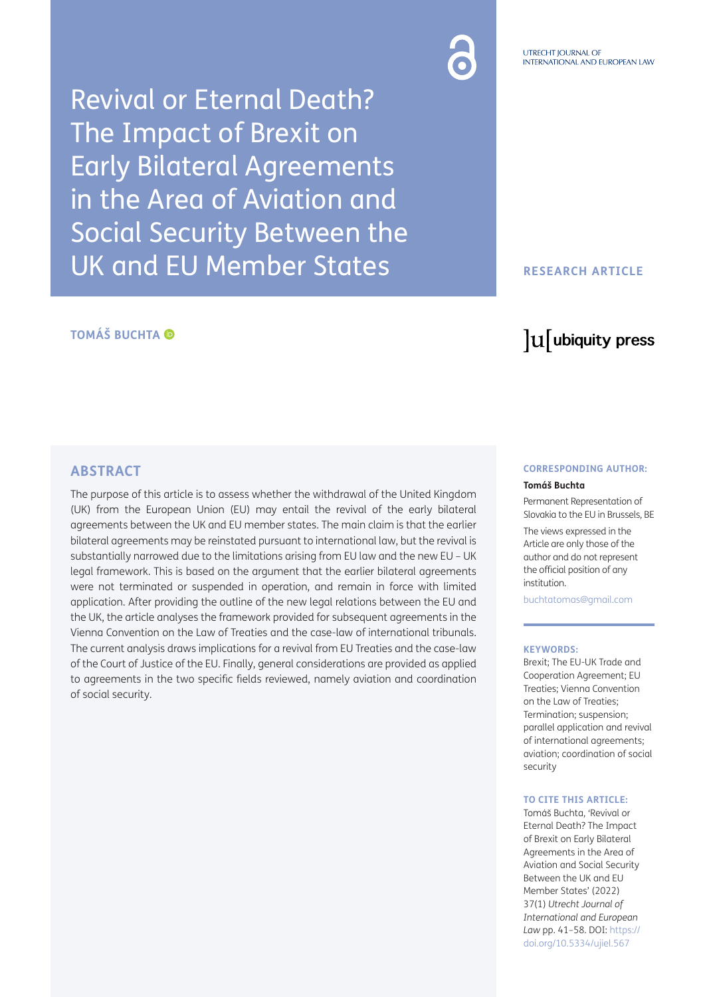Revival or Eternal Death? The Impact of Brexit on Early Bilateral Agreements in the Area of Aviation and Social Security Between the UK and EU Member States

## **RESEARCH ARTICLE**

# **TOMÁŠ BUCHTA**

# lu ubiquity press

### **ABSTRACT**

The purpose of this article is to assess whether the withdrawal of the United Kingdom (UK) from the European Union (EU) may entail the revival of the early bilateral agreements between the UK and EU member states. The main claim is that the earlier bilateral agreements may be reinstated pursuant to international law, but the revival is substantially narrowed due to the limitations arising from EU law and the new EU – UK legal framework. This is based on the argument that the earlier bilateral agreements were not terminated or suspended in operation, and remain in force with limited application. After providing the outline of the new legal relations between the EU and the UK, the article analyses the framework provided for subsequent agreements in the Vienna Convention on the Law of Treaties and the case-law of international tribunals. The current analysis draws implications for a revival from EU Treaties and the case-law of the Court of Justice of the EU. Finally, general considerations are provided as applied to agreements in the two specific fields reviewed, namely aviation and coordination of social security.

#### **CORRESPONDING AUTHOR:**

#### **Tomáš Buchta**

Permanent Representation of Slovakia to the EU in Brussels, BE

The views expressed in the Article are only those of the author and do not represent the official position of any institution.

[buchtatomas@gmail.com](mailto:buchtatomas@gmail.com)

#### **KEYWORDS:**

Brexit; The EU-UK Trade and Cooperation Agreement; EU Treaties; Vienna Convention on the Law of Treaties; Termination; suspension; parallel application and revival of international agreements; aviation; coordination of social security

#### **TO CITE THIS ARTICLE:**

Tomáš Buchta, 'Revival or Eternal Death? The Impact of Brexit on Early Bilateral Agreements in the Area of Aviation and Social Security Between the UK and EU Member States' (2022) 37(1) *Utrecht Journal of International and European Law* pp. 41–58. DOI: [https://](https://doi.org/10.5334/ujiel.567) [doi.org/10.5334/ujiel.567](https://doi.org/10.5334/ujiel.567)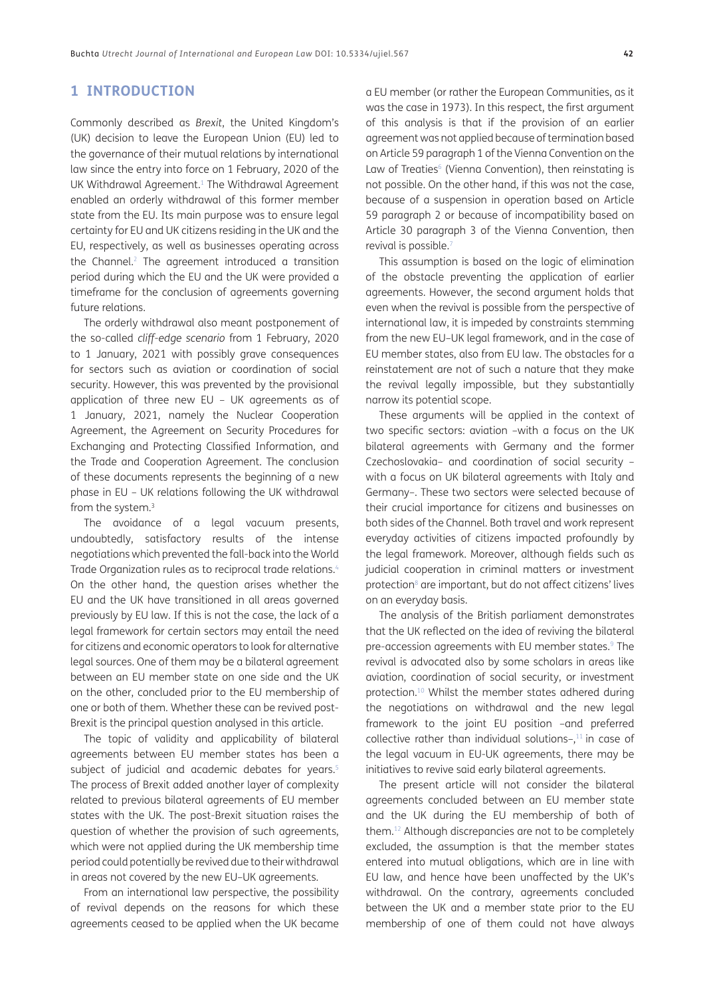### **1 INTRODUCTION**

Commonly described as *Brexit*, the United Kingdom's (UK) decision to leave the European Union (EU) led to the governance of their mutual relations by international law since the entry into force on 1 February, 2020 of the UK Withdrawal Agreement.<sup>1</sup> The Withdrawal Agreement enabled an orderly withdrawal of this former member state from the EU. Its main purpose was to ensure legal certainty for EU and UK citizens residing in the UK and the EU, respectively, as well as businesses operating across the Channel.<sup>2</sup> The agreement introduced a transition period during which the EU and the UK were provided a timeframe for the conclusion of agreements governing future relations.

The orderly withdrawal also meant postponement of the so-called *cliff-edge scenario* from 1 February, 2020 to 1 January, 2021 with possibly grave consequences for sectors such as aviation or coordination of social security. However, this was prevented by the provisional application of three new EU – UK agreements as of 1 January, 2021, namely the Nuclear Cooperation Agreement, the Agreement on Security Procedures for Exchanging and Protecting Classified Information, and the Trade and Cooperation Agreement. The conclusion of these documents represents the beginning of a new phase in EU – UK relations following the UK withdrawal from the system.[3](#page-13-2)

The avoidance of a legal vacuum presents, undoubtedly, satisfactory results of the intense negotiations which prevented the fall-back into the World Trade Organization rules as to reciprocal trade relations[.4](#page-13-3) On the other hand, the question arises whether the EU and the UK have transitioned in all areas governed previously by EU law. If this is not the case, the lack of a legal framework for certain sectors may entail the need for citizens and economic operators to look for alternative legal sources. One of them may be a bilateral agreement between an EU member state on one side and the UK on the other, concluded prior to the EU membership of one or both of them. Whether these can be revived post-Brexit is the principal question analysed in this article.

The topic of validity and applicability of bilateral agreements between EU member states has been a subject of judicial and academic debates for years.<sup>5</sup> The process of Brexit added another layer of complexity related to previous bilateral agreements of EU member states with the UK. The post-Brexit situation raises the question of whether the provision of such agreements, which were not applied during the UK membership time period could potentially be revived due to their withdrawal in areas not covered by the new EU–UK agreements.

From an international law perspective, the possibility of revival depends on the reasons for which these agreements ceased to be applied when the UK became a EU member (or rather the European Communities, as it was the case in 1973). In this respect, the first argument of this analysis is that if the provision of an earlier agreement was not applied because of termination based on Article 59 paragraph 1 of the Vienna Convention on the Law of Treaties<sup>6</sup> (Vienna Convention), then reinstating is not possible. On the other hand, if this was not the case, because of a suspension in operation based on Article 59 paragraph 2 or because of incompatibility based on Article 30 paragraph 3 of the Vienna Convention, then revival is possible.<sup>[7](#page-13-6)</sup>

This assumption is based on the logic of elimination of the obstacle preventing the application of earlier agreements. However, the second argument holds that even when the revival is possible from the perspective of international law, it is impeded by constraints stemming from the new EU–UK legal framework, and in the case of EU member states, also from EU law. The obstacles for a reinstatement are not of such a nature that they make the revival legally impossible, but they substantially narrow its potential scope.

These arguments will be applied in the context of two specific sectors: aviation –with a focus on the UK bilateral agreements with Germany and the former Czechoslovakia– and coordination of social security – with a focus on UK bilateral agreements with Italy and Germany–. These two sectors were selected because of their crucial importance for citizens and businesses on both sides of the Channel. Both travel and work represent everyday activities of citizens impacted profoundly by the legal framework. Moreover, although fields such as judicial cooperation in criminal matters or investment protection<sup>8</sup> are important, but do not affect citizens' lives on an everyday basis.

The analysis of the British parliament demonstrates that the UK reflected on the idea of reviving the bilateral pre-accession agreements with EU member states.<sup>9</sup> The revival is advocated also by some scholars in areas like aviation, coordination of social security, or investment protection.10 Whilst the member states adhered during the negotiations on withdrawal and the new legal framework to the joint EU position –and preferred collective rather than individual solutions- $,11$  in case of the legal vacuum in EU-UK agreements, there may be initiatives to revive said early bilateral agreements.

The present article will not consider the bilateral agreements concluded between an EU member state and the UK during the EU membership of both of them.[12](#page-13-10) Although discrepancies are not to be completely excluded, the assumption is that the member states entered into mutual obligations, which are in line with EU law, and hence have been unaffected by the UK's withdrawal. On the contrary, agreements concluded between the UK and a member state prior to the EU membership of one of them could not have always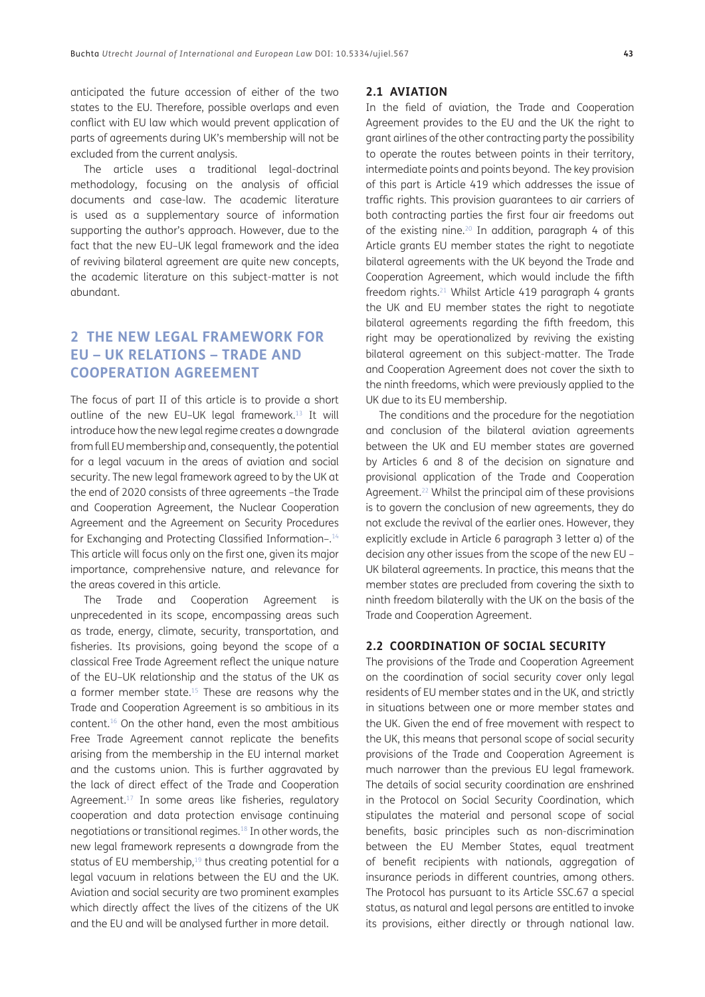anticipated the future accession of either of the two states to the EU. Therefore, possible overlaps and even conflict with EU law which would prevent application of parts of agreements during UK's membership will not be excluded from the current analysis.

The article uses a traditional legal-doctrinal methodology, focusing on the analysis of official documents and case-law. The academic literature is used as a supplementary source of information supporting the author's approach. However, due to the fact that the new EU–UK legal framework and the idea of reviving bilateral agreement are quite new concepts, the academic literature on this subject-matter is not abundant.

# **2 THE NEW LEGAL FRAMEWORK FOR EU – UK RELATIONS – TRADE AND COOPERATION AGREEMENT**

The focus of part II of this article is to provide a short outline of the new EU–UK legal framework.[13](#page-13-11) It will introduce how the new legal regime creates a downgrade from full EU membership and, consequently, the potential for a legal vacuum in the areas of aviation and social security. The new legal framework agreed to by the UK at the end of 2020 consists of three agreements –the Trade and Cooperation Agreement, the Nuclear Cooperation Agreement and the Agreement on Security Procedures for Exchanging and Protecting Classified Information-.<sup>14</sup> This article will focus only on the first one, given its major importance, comprehensive nature, and relevance for the areas covered in this article.

The Trade and Cooperation Agreement is unprecedented in its scope, encompassing areas such as trade, energy, climate, security, transportation, and fisheries. Its provisions, going beyond the scope of a classical Free Trade Agreement reflect the unique nature of the EU–UK relationship and the status of the UK as a former member state.<sup>15</sup> These are reasons why the Trade and Cooperation Agreement is so ambitious in its content.[16](#page-13-12) On the other hand, even the most ambitious Free Trade Agreement cannot replicate the benefits arising from the membership in the EU internal market and the customs union. This is further aggravated by the lack of direct effect of the Trade and Cooperation Agreement.17 In some areas like fisheries, regulatory cooperation and data protection envisage continuing negotiations or transitional regimes[.18](#page-13-13) In other words, the new legal framework represents a downgrade from the status of EU membership,<sup>19</sup> thus creating potential for a legal vacuum in relations between the EU and the UK. Aviation and social security are two prominent examples which directly affect the lives of the citizens of the UK and the EU and will be analysed further in more detail.

#### **2.1 AVIATION**

In the field of aviation, the Trade and Cooperation Agreement provides to the EU and the UK the right to grant airlines of the other contracting party the possibility to operate the routes between points in their territory, intermediate points and points beyond. The key provision of this part is Article 419 which addresses the issue of traffic rights. This provision guarantees to air carriers of both contracting parties the first four air freedoms out of the existing nine.<sup>20</sup> In addition, paragraph 4 of this Article grants EU member states the right to negotiate bilateral agreements with the UK beyond the Trade and Cooperation Agreement, which would include the fifth freedom rights.<sup>21</sup> Whilst Article 419 paragraph 4 grants the UK and EU member states the right to negotiate bilateral agreements regarding the fifth freedom, this right may be operationalized by reviving the existing bilateral agreement on this subject-matter. The Trade and Cooperation Agreement does not cover the sixth to the ninth freedoms, which were previously applied to the UK due to its EU membership.

The conditions and the procedure for the negotiation and conclusion of the bilateral aviation agreements between the UK and EU member states are governed by Articles 6 and 8 of the decision on signature and provisional application of the Trade and Cooperation Agreement.<sup>22</sup> Whilst the principal aim of these provisions is to govern the conclusion of new agreements, they do not exclude the revival of the earlier ones. However, they explicitly exclude in Article 6 paragraph 3 letter a) of the decision any other issues from the scope of the new EU – UK bilateral agreements. In practice, this means that the member states are precluded from covering the sixth to ninth freedom bilaterally with the UK on the basis of the Trade and Cooperation Agreement.

### **2.2 COORDINATION OF SOCIAL SECURITY**

The provisions of the Trade and Cooperation Agreement on the coordination of social security cover only legal residents of EU member states and in the UK, and strictly in situations between one or more member states and the UK. Given the end of free movement with respect to the UK, this means that personal scope of social security provisions of the Trade and Cooperation Agreement is much narrower than the previous EU legal framework. The details of social security coordination are enshrined in the Protocol on Social Security Coordination, which stipulates the material and personal scope of social benefits, basic principles such as non-discrimination between the EU Member States, equal treatment of benefit recipients with nationals, aggregation of insurance periods in different countries, among others. The Protocol has pursuant to its Article SSC.67 a special status, as natural and legal persons are entitled to invoke its provisions, either directly or through national law.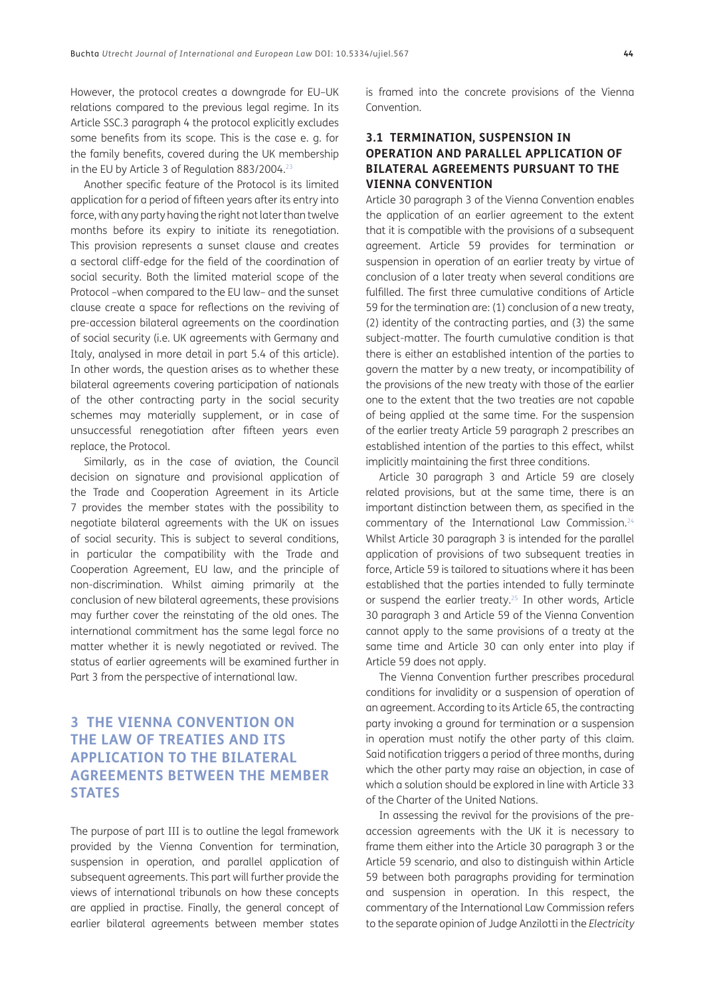However, the protocol creates a downgrade for EU–UK relations compared to the previous legal regime. In its Article SSC.3 paragraph 4 the protocol explicitly excludes some benefits from its scope. This is the case e. g. for the family benefits, covered during the UK membership in the EU by Article 3 of Regulation 883/2004.<sup>23</sup>

Another specific feature of the Protocol is its limited application for a period of fifteen years after its entry into force, with any party having the right not later than twelve months before its expiry to initiate its renegotiation. This provision represents a sunset clause and creates a sectoral cliff-edge for the field of the coordination of social security. Both the limited material scope of the Protocol –when compared to the EU law– and the sunset clause create a space for reflections on the reviving of pre-accession bilateral agreements on the coordination of social security (i.e. UK agreements with Germany and Italy, analysed in more detail in part 5.4 of this article). In other words, the question arises as to whether these bilateral agreements covering participation of nationals of the other contracting party in the social security schemes may materially supplement, or in case of unsuccessful renegotiation after fifteen years even replace, the Protocol.

Similarly, as in the case of aviation, the Council decision on signature and provisional application of the Trade and Cooperation Agreement in its Article 7 provides the member states with the possibility to negotiate bilateral agreements with the UK on issues of social security. This is subject to several conditions, in particular the compatibility with the Trade and Cooperation Agreement, EU law, and the principle of non-discrimination. Whilst aiming primarily at the conclusion of new bilateral agreements, these provisions may further cover the reinstating of the old ones. The international commitment has the same legal force no matter whether it is newly negotiated or revived. The status of earlier agreements will be examined further in Part 3 from the perspective of international law.

# **3 THE VIENNA CONVENTION ON THE LAW OF TREATIES AND ITS APPLICATION TO THE BILATERAL AGREEMENTS BETWEEN THE MEMBER STATES**

The purpose of part III is to outline the legal framework provided by the Vienna Convention for termination, suspension in operation, and parallel application of subsequent agreements. This part will further provide the views of international tribunals on how these concepts are applied in practise. Finally, the general concept of earlier bilateral agreements between member states is framed into the concrete provisions of the Vienna Convention.

### **3.1 TERMINATION, SUSPENSION IN OPERATION AND PARALLEL APPLICATION OF BILATERAL AGREEMENTS PURSUANT TO THE VIENNA CONVENTION**

Article 30 paragraph 3 of the Vienna Convention enables the application of an earlier agreement to the extent that it is compatible with the provisions of a subsequent agreement. Article 59 provides for termination or suspension in operation of an earlier treaty by virtue of conclusion of a later treaty when several conditions are fulfilled. The first three cumulative conditions of Article 59 for the termination are: (1) conclusion of a new treaty, (2) identity of the contracting parties, and (3) the same subject-matter. The fourth cumulative condition is that there is either an established intention of the parties to govern the matter by a new treaty, or incompatibility of the provisions of the new treaty with those of the earlier one to the extent that the two treaties are not capable of being applied at the same time. For the suspension of the earlier treaty Article 59 paragraph 2 prescribes an established intention of the parties to this effect, whilst implicitly maintaining the first three conditions.

Article 30 paragraph 3 and Article 59 are closely related provisions, but at the same time, there is an important distinction between them, as specified in the commentary of the International Law Commission.[24](#page-14-4) Whilst Article 30 paragraph 3 is intended for the parallel application of provisions of two subsequent treaties in force, Article 59 is tailored to situations where it has been established that the parties intended to fully terminate or suspend the earlier treaty.[25](#page-14-5) In other words, Article 30 paragraph 3 and Article 59 of the Vienna Convention cannot apply to the same provisions of a treaty at the same time and Article 30 can only enter into play if Article 59 does not apply.

The Vienna Convention further prescribes procedural conditions for invalidity or a suspension of operation of an agreement. According to its Article 65, the contracting party invoking a ground for termination or a suspension in operation must notify the other party of this claim. Said notification triggers a period of three months, during which the other party may raise an objection, in case of which a solution should be explored in line with Article 33 of the Charter of the United Nations.

In assessing the revival for the provisions of the preaccession agreements with the UK it is necessary to frame them either into the Article 30 paragraph 3 or the Article 59 scenario, and also to distinguish within Article 59 between both paragraphs providing for termination and suspension in operation. In this respect, the commentary of the International Law Commission refers to the separate opinion of Judge Anzilotti in the *Electricity*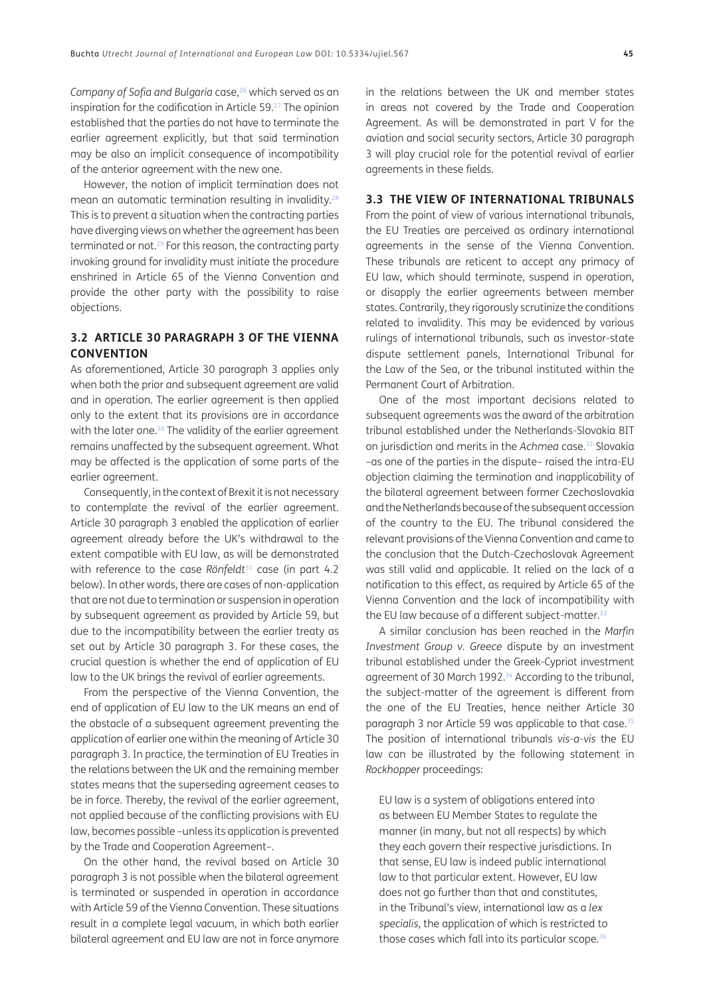*Company of Sofia and Bulgaria* case,<sup>26</sup> which served as an inspiration for the codification in Article 59[.27](#page-14-7) The opinion established that the parties do not have to terminate the earlier agreement explicitly, but that said termination may be also an implicit consequence of incompatibility of the anterior agreement with the new one.

However, the notion of implicit termination does not mean an automatic termination resulting in invalidity[.28](#page-14-8) This is to prevent a situation when the contracting parties have diverging views on whether the agreement has been terminated or not.29 For this reason, the contracting party invoking ground for invalidity must initiate the procedure enshrined in Article 65 of the Vienna Convention and provide the other party with the possibility to raise objections.

#### **3.2 ARTICLE 30 PARAGRAPH 3 OF THE VIENNA CONVENTION**

As aforementioned, Article 30 paragraph 3 applies only when both the prior and subsequent agreement are valid and in operation. The earlier agreement is then applied only to the extent that its provisions are in accordance with the later one.<sup>30</sup> The validity of the earlier agreement remains unaffected by the subsequent agreement. What may be affected is the application of some parts of the earlier agreement.

Consequently, in the context of Brexit it is not necessary to contemplate the revival of the earlier agreement. Article 30 paragraph 3 enabled the application of earlier agreement already before the UK's withdrawal to the extent compatible with EU law, as will be demonstrated with reference to the case Rönfeldt<sup>31</sup> case (in part 4.2 below). In other words, there are cases of non-application that are not due to termination or suspension in operation by subsequent agreement as provided by Article 59, but due to the incompatibility between the earlier treaty as set out by Article 30 paragraph 3. For these cases, the crucial question is whether the end of application of EU law to the UK brings the revival of earlier agreements.

From the perspective of the Vienna Convention, the end of application of EU law to the UK means an end of the obstacle of a subsequent agreement preventing the application of earlier one within the meaning of Article 30 paragraph 3. In practice, the termination of EU Treaties in the relations between the UK and the remaining member states means that the superseding agreement ceases to be in force. Thereby, the revival of the earlier agreement, not applied because of the conflicting provisions with EU law, becomes possible –unless its application is prevented by the Trade and Cooperation Agreement–.

On the other hand, the revival based on Article 30 paragraph 3 is not possible when the bilateral agreement is terminated or suspended in operation in accordance with Article 59 of the Vienna Convention. These situations result in a complete legal vacuum, in which both earlier bilateral agreement and EU law are not in force anymore in the relations between the UK and member states in areas not covered by the Trade and Cooperation Agreement. As will be demonstrated in part V for the aviation and social security sectors, Article 30 paragraph 3 will play crucial role for the potential revival of earlier agreements in these fields.

#### **3.3 THE VIEW OF INTERNATIONAL TRIBUNALS**

From the point of view of various international tribunals, the EU Treaties are perceived as ordinary international agreements in the sense of the Vienna Convention. These tribunals are reticent to accept any primacy of EU law, which should terminate, suspend in operation, or disapply the earlier agreements between member states. Contrarily, they rigorously scrutinize the conditions related to invalidity. This may be evidenced by various rulings of international tribunals, such as investor-state dispute settlement panels, International Tribunal for the Law of the Sea, or the tribunal instituted within the Permanent Court of Arbitration.

One of the most important decisions related to subsequent agreements was the award of the arbitration tribunal established under the Netherlands-Slovakia BIT on jurisdiction and merits in the *Achmea* case.[32](#page-14-10) Slovakia –as one of the parties in the dispute– raised the intra-EU objection claiming the termination and inapplicability of the bilateral agreement between former Czechoslovakia and the Netherlands because of the subsequent accession of the country to the EU. The tribunal considered the relevant provisions of the Vienna Convention and came to the conclusion that the Dutch-Czechoslovak Agreement was still valid and applicable. It relied on the lack of a notification to this effect, as required by Article 65 of the Vienna Convention and the lack of incompatibility with the EU law because of a different subject-matter.<sup>[33](#page-14-11)</sup>

A similar conclusion has been reached in the *Marfin Investment Group v. Greece* dispute by an investment tribunal established under the Greek-Cypriot investment agreement of 30 March 1992.<sup>34</sup> According to the tribunal, the subject-matter of the agreement is different from the one of the EU Treaties, hence neither Article 30 paragraph 3 nor Article 59 was applicable to that case.<sup>[35](#page-14-13)</sup> The position of international tribunals *vis-a-vis* the EU law can be illustrated by the following statement in *Rockhopper* proceedings:

EU law is a system of obligations entered into as between EU Member States to regulate the manner (in many, but not all respects) by which they each govern their respective jurisdictions. In that sense, EU law is indeed public international law to that particular extent. However, EU law does not go further than that and constitutes, in the Tribunal's view, international law as a *lex specialis*, the application of which is restricted to those cases which fall into its particular scope.<sup>36</sup>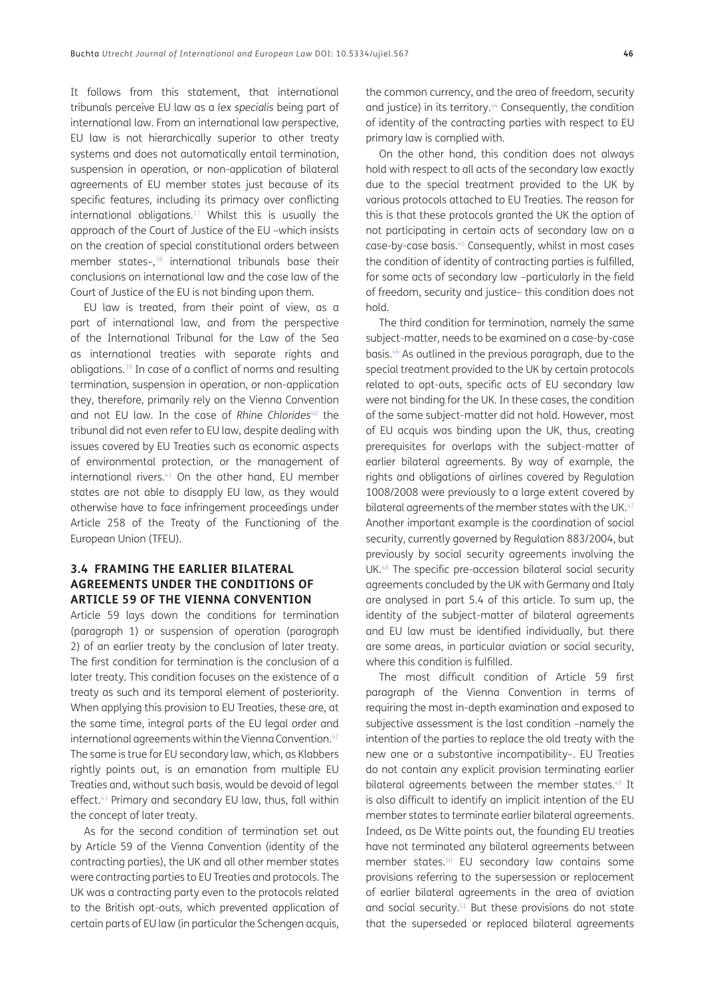It follows from this statement, that international tribunals perceive EU law as a *lex specialis* being part of international law. From an international law perspective, EU law is not hierarchically superior to other treaty systems and does not automatically entail termination, suspension in operation, or non-application of bilateral agreements of EU member states just because of its specific features, including its primacy over conflicting international obligations. $37$  Whilst this is usually the approach of the Court of Justice of the EU –which insists on the creation of special constitutional orders between member states–,<sup>38</sup> international tribunals base their conclusions on international law and the case law of the Court of Justice of the EU is not binding upon them.

EU law is treated, from their point of view, as a part of international law, and from the perspective of the International Tribunal for the Law of the Sea as international treaties with separate rights and obligations.[39](#page-14-16) In case of a conflict of norms and resulting termination, suspension in operation, or non-application they, therefore, primarily rely on the Vienna Convention and not EU law. In the case of *Rhine Chlorides<sup>[40](#page-14-17)</sup>* the tribunal did not even refer to EU law, despite dealing with issues covered by EU Treaties such as economic aspects of environmental protection, or the management of international rivers.<sup>41</sup> On the other hand, EU member states are not able to disapply EU law, as they would otherwise have to face infringement proceedings under Article 258 of the Treaty of the Functioning of the European Union (TFEU).

#### **3.4 FRAMING THE EARLIER BILATERAL AGREEMENTS UNDER THE CONDITIONS OF ARTICLE 59 OF THE VIENNA CONVENTION**

Article 59 lays down the conditions for termination (paragraph 1) or suspension of operation (paragraph 2) of an earlier treaty by the conclusion of later treaty. The first condition for termination is the conclusion of a later treaty. This condition focuses on the existence of a treaty as such and its temporal element of posteriority. When applying this provision to EU Treaties, these are, at the same time, integral parts of the EU legal order and international agreements within the Vienna Convention.<sup>42</sup> The same is true for EU secondary law, which, as Klabbers rightly points out, is an emanation from multiple EU Treaties and, without such basis, would be devoid of legal effect.<sup>43</sup> Primary and secondary EU law, thus, fall within the concept of later treaty.

As for the second condition of termination set out by Article 59 of the Vienna Convention (identity of the contracting parties), the UK and all other member states were contracting parties to EU Treaties and protocols. The UK was a contracting party even to the protocols related to the British opt-outs, which prevented application of certain parts of EU law (in particular the Schengen acquis, the common currency, and the area of freedom, security and justice) in its territory.<sup>44</sup> Consequently, the condition of identity of the contracting parties with respect to EU primary law is complied with.

On the other hand, this condition does not always hold with respect to all acts of the secondary law exactly due to the special treatment provided to the UK by various protocols attached to EU Treaties. The reason for this is that these protocols granted the UK the option of not participating in certain acts of secondary law on a case-by-case basis.[45](#page-14-21) Consequently, whilst in most cases the condition of identity of contracting parties is fulfilled, for some acts of secondary law –particularly in the field of freedom, security and justice– this condition does not hold.

The third condition for termination, namely the same subject-matter, needs to be examined on a case-by-case basis[.46](#page-14-22) As outlined in the previous paragraph, due to the special treatment provided to the UK by certain protocols related to opt-outs, specific acts of EU secondary law were not binding for the UK. In these cases, the condition of the same subject-matter did not hold. However, most of EU acquis was binding upon the UK, thus, creating prerequisites for overlaps with the subject-matter of earlier bilateral agreements. By way of example, the rights and obligations of airlines covered by Regulation 1008/2008 were previously to a large extent covered by bilateral agreements of the member states with the UK.<sup>[47](#page-14-23)</sup> Another important example is the coordination of social security, currently governed by Regulation 883/2004, but previously by social security agreements involving the UK[.48](#page-14-24) The specific pre-accession bilateral social security agreements concluded by the UK with Germany and Italy are analysed in part 5.4 of this article. To sum up, the identity of the subject-matter of bilateral agreements and EU law must be identified individually, but there are some areas, in particular aviation or social security, where this condition is fulfilled.

The most difficult condition of Article 59 first paragraph of the Vienna Convention in terms of requiring the most in-depth examination and exposed to subjective assessment is the last condition –namely the intention of the parties to replace the old treaty with the new one or a substantive incompatibility–. EU Treaties do not contain any explicit provision terminating earlier bilateral agreements between the member states.<sup>49</sup> It is also difficult to identify an implicit intention of the EU member states to terminate earlier bilateral agreements. Indeed, as De Witte points out, the founding EU treaties have not terminated any bilateral agreements between member states[.50](#page-14-26) EU secondary law contains some provisions referring to the supersession or replacement of earlier bilateral agreements in the area of aviation and social security[.51](#page-14-27) But these provisions do not state that the superseded or replaced bilateral agreements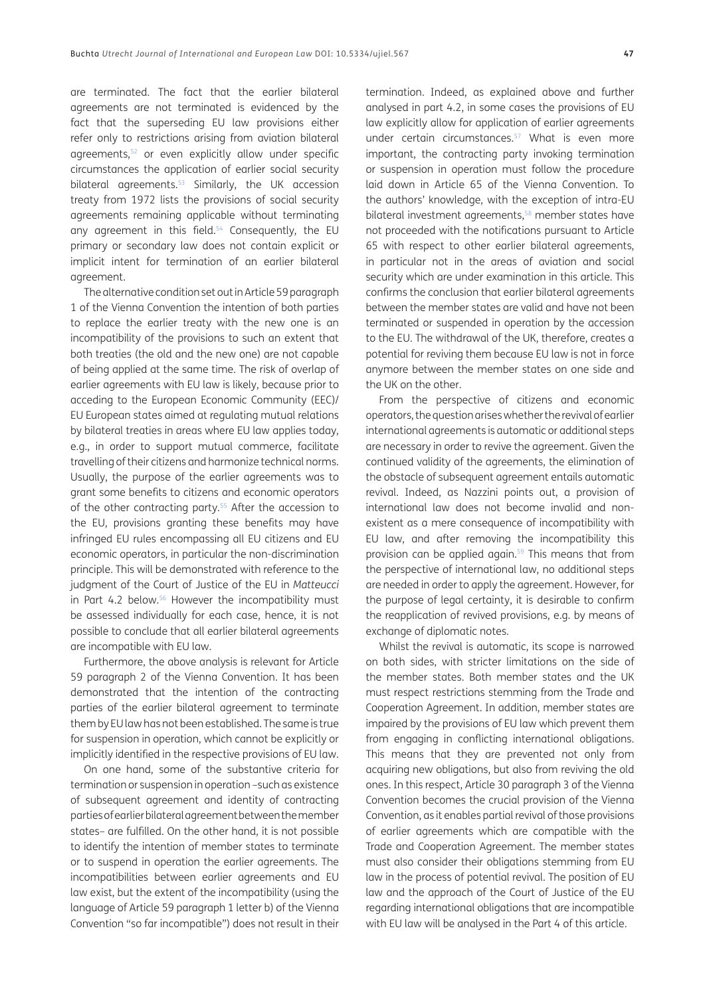are terminated. The fact that the earlier bilateral agreements are not terminated is evidenced by the fact that the superseding EU law provisions either refer only to restrictions arising from aviation bilateral agreements[,52](#page-14-28) or even explicitly allow under specific circumstances the application of earlier social security bilateral agreements.<sup>53</sup> Similarly, the UK accession treaty from 1972 lists the provisions of social security agreements remaining applicable without terminating any agreement in this field.<sup>54</sup> Consequently, the EU primary or secondary law does not contain explicit or implicit intent for termination of an earlier bilateral agreement.

The alternative condition set out in Article 59 paragraph 1 of the Vienna Convention the intention of both parties to replace the earlier treaty with the new one is an incompatibility of the provisions to such an extent that both treaties (the old and the new one) are not capable of being applied at the same time. The risk of overlap of earlier agreements with EU law is likely, because prior to acceding to the European Economic Community (EEC)/ EU European states aimed at regulating mutual relations by bilateral treaties in areas where EU law applies today, e.g., in order to support mutual commerce, facilitate travelling of their citizens and harmonize technical norms. Usually, the purpose of the earlier agreements was to grant some benefits to citizens and economic operators of the other contracting party.<sup>55</sup> After the accession to the EU, provisions granting these benefits may have infringed EU rules encompassing all EU citizens and EU economic operators, in particular the non-discrimination principle. This will be demonstrated with reference to the judgment of the Court of Justice of the EU in *Matteucci* in Part 4.2 below.<sup>56</sup> However the incompatibility must be assessed individually for each case, hence, it is not possible to conclude that all earlier bilateral agreements are incompatible with EU law.

Furthermore, the above analysis is relevant for Article 59 paragraph 2 of the Vienna Convention. It has been demonstrated that the intention of the contracting parties of the earlier bilateral agreement to terminate them by EU law has not been established. The same is true for suspension in operation, which cannot be explicitly or implicitly identified in the respective provisions of EU law.

On one hand, some of the substantive criteria for termination or suspension in operation –such as existence of subsequent agreement and identity of contracting parties of earlier bilateral agreement between the member states– are fulfilled. On the other hand, it is not possible to identify the intention of member states to terminate or to suspend in operation the earlier agreements. The incompatibilities between earlier agreements and EU law exist, but the extent of the incompatibility (using the language of Article 59 paragraph 1 letter b) of the Vienna Convention "so far incompatible") does not result in their

termination. Indeed, as explained above and further analysed in part 4.2, in some cases the provisions of EU law explicitly allow for application of earlier agreements under certain circumstances.<sup>57</sup> What is even more important, the contracting party invoking termination or suspension in operation must follow the procedure laid down in Article 65 of the Vienna Convention. To the authors' knowledge, with the exception of intra-EU bilateral investment agreements,<sup>58</sup> member states have not proceeded with the notifications pursuant to Article 65 with respect to other earlier bilateral agreements, in particular not in the areas of aviation and social security which are under examination in this article. This confirms the conclusion that earlier bilateral agreements between the member states are valid and have not been terminated or suspended in operation by the accession to the EU. The withdrawal of the UK, therefore, creates a potential for reviving them because EU law is not in force anymore between the member states on one side and the UK on the other.

From the perspective of citizens and economic operators, the question arises whether the revival of earlier international agreements is automatic or additional steps are necessary in order to revive the agreement. Given the continued validity of the agreements, the elimination of the obstacle of subsequent agreement entails automatic revival. Indeed, as Nazzini points out, a provision of international law does not become invalid and nonexistent as a mere consequence of incompatibility with EU law, and after removing the incompatibility this provision can be applied again.<sup>59</sup> This means that from the perspective of international law, no additional steps are needed in order to apply the agreement. However, for the purpose of legal certainty, it is desirable to confirm the reapplication of revived provisions, e.g. by means of exchange of diplomatic notes.

Whilst the revival is automatic, its scope is narrowed on both sides, with stricter limitations on the side of the member states. Both member states and the UK must respect restrictions stemming from the Trade and Cooperation Agreement. In addition, member states are impaired by the provisions of EU law which prevent them from engaging in conflicting international obligations. This means that they are prevented not only from acquiring new obligations, but also from reviving the old ones. In this respect, Article 30 paragraph 3 of the Vienna Convention becomes the crucial provision of the Vienna Convention, as it enables partial revival of those provisions of earlier agreements which are compatible with the Trade and Cooperation Agreement. The member states must also consider their obligations stemming from EU law in the process of potential revival. The position of EU law and the approach of the Court of Justice of the EU regarding international obligations that are incompatible with EU law will be analysed in the Part 4 of this article.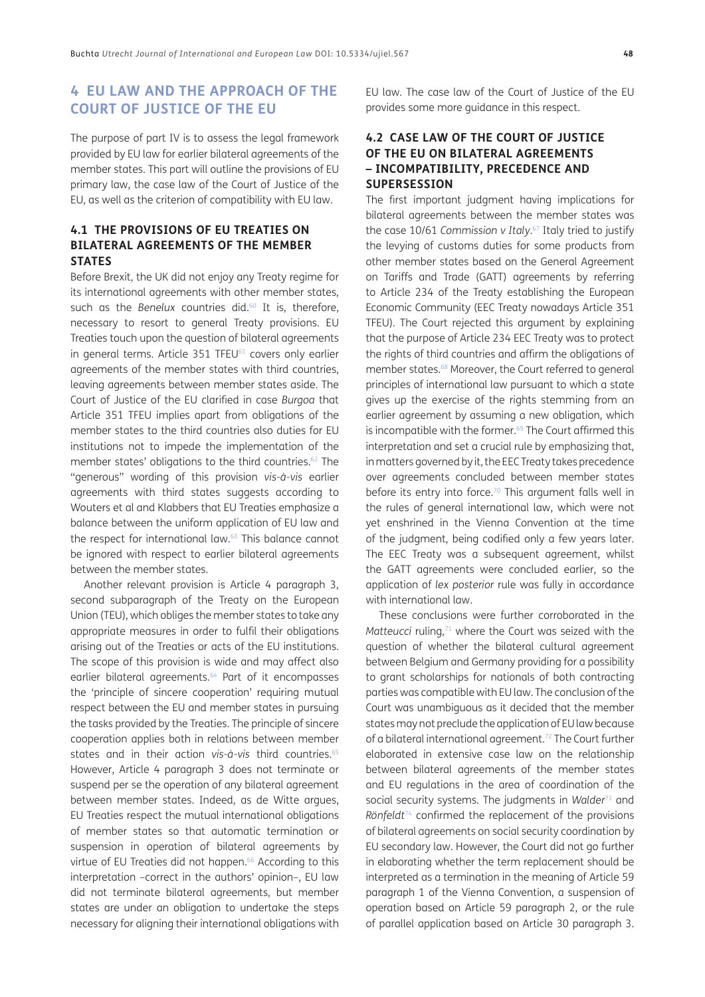# **4 EU LAW AND THE APPROACH OF THE COURT OF JUSTICE OF THE EU**

The purpose of part IV is to assess the legal framework provided by EU law for earlier bilateral agreements of the member states. This part will outline the provisions of EU primary law, the case law of the Court of Justice of the EU, as well as the criterion of compatibility with EU law.

### **4.1 THE PROVISIONS OF EU TREATIES ON BILATERAL AGREEMENTS OF THE MEMBER STATES**

Before Brexit, the UK did not enjoy any Treaty regime for its international agreements with other member states, such as the *Benelux* countries did.<sup>60</sup> It is, therefore, necessary to resort to general Treaty provisions. EU Treaties touch upon the question of bilateral agreements in general terms. Article  $351$  TFEU $^{61}$  covers only earlier agreements of the member states with third countries, leaving agreements between member states aside. The Court of Justice of the EU clarified in case *Burgoa* that Article 351 TFEU implies apart from obligations of the member states to the third countries also duties for EU institutions not to impede the implementation of the member states' obligations to the third countries.[62](#page-15-6) The "generous" wording of this provision *vis-à-vis* earlier agreements with third states suggests according to Wouters et al and Klabbers that EU Treaties emphasize a balance between the uniform application of EU law and the respect for international law.[63](#page-15-7) This balance cannot be ignored with respect to earlier bilateral agreements between the member states.

Another relevant provision is Article 4 paragraph 3, second subparagraph of the Treaty on the European Union (TEU), which obliges the member states to take any appropriate measures in order to fulfil their obligations arising out of the Treaties or acts of the EU institutions. The scope of this provision is wide and may affect also earlier bilateral agreements.<sup>64</sup> Part of it encompasses the 'principle of sincere cooperation' requiring mutual respect between the EU and member states in pursuing the tasks provided by the Treaties. The principle of sincere cooperation applies both in relations between member states and in their action *vis-à-vis* third countries[.65](#page-15-9) However, Article 4 paragraph 3 does not terminate or suspend per se the operation of any bilateral agreement between member states. Indeed, as de Witte argues, EU Treaties respect the mutual international obligations of member states so that automatic termination or suspension in operation of bilateral agreements by virtue of EU Treaties did not happen.<sup>66</sup> According to this interpretation –correct in the authors' opinion–, EU law did not terminate bilateral agreements, but member states are under an obligation to undertake the steps necessary for aligning their international obligations with EU law. The case law of the Court of Justice of the EU provides some more guidance in this respect.

### **4.2 CASE LAW OF THE COURT OF JUSTICE OF THE EU ON BILATERAL AGREEMENTS – INCOMPATIBILITY, PRECEDENCE AND SUPERSESSION**

The first important judgment having implications for bilateral agreements between the member states was the case 10/61 *Commission v Italy*. [67](#page-15-11) Italy tried to justify the levying of customs duties for some products from other member states based on the General Agreement on Tariffs and Trade (GATT) agreements by referring to Article 234 of the Treaty establishing the European Economic Community (EEC Treaty nowadays Article 351 TFEU). The Court rejected this argument by explaining that the purpose of Article 234 EEC Treaty was to protect the rights of third countries and affirm the obligations of member states.<sup>68</sup> Moreover, the Court referred to general principles of international law pursuant to which a state gives up the exercise of the rights stemming from an earlier agreement by assuming a new obligation, which is incompatible with the former.<sup>69</sup> The Court affirmed this interpretation and set a crucial rule by emphasizing that, in matters governed by it, the EEC Treaty takes precedence over agreements concluded between member states before its entry into force.<sup>70</sup> This argument falls well in the rules of general international law, which were not yet enshrined in the Vienna Convention at the time of the judgment, being codified only a few years later. The EEC Treaty was a subsequent agreement, whilst the GATT agreements were concluded earlier, so the application of *lex posterior* rule was fully in accordance with international law.

These conclusions were further corroborated in the *Matteucci* ruling,<sup>71</sup> where the Court was seized with the question of whether the bilateral cultural agreement between Belgium and Germany providing for a possibility to grant scholarships for nationals of both contracting parties was compatible with EU law. The conclusion of the Court was unambiguous as it decided that the member states may not preclude the application of EU law because of a bilateral international agreement[.72](#page-15-16) The Court further elaborated in extensive case law on the relationship between bilateral agreements of the member states and EU regulations in the area of coordination of the social security systems. The judgments in *Walder*[73](#page-15-17) and *Rönfeldt*[74](#page-15-18) confirmed the replacement of the provisions of bilateral agreements on social security coordination by EU secondary law. However, the Court did not go further in elaborating whether the term replacement should be interpreted as a termination in the meaning of Article 59 paragraph 1 of the Vienna Convention, a suspension of operation based on Article 59 paragraph 2, or the rule of parallel application based on Article 30 paragraph 3.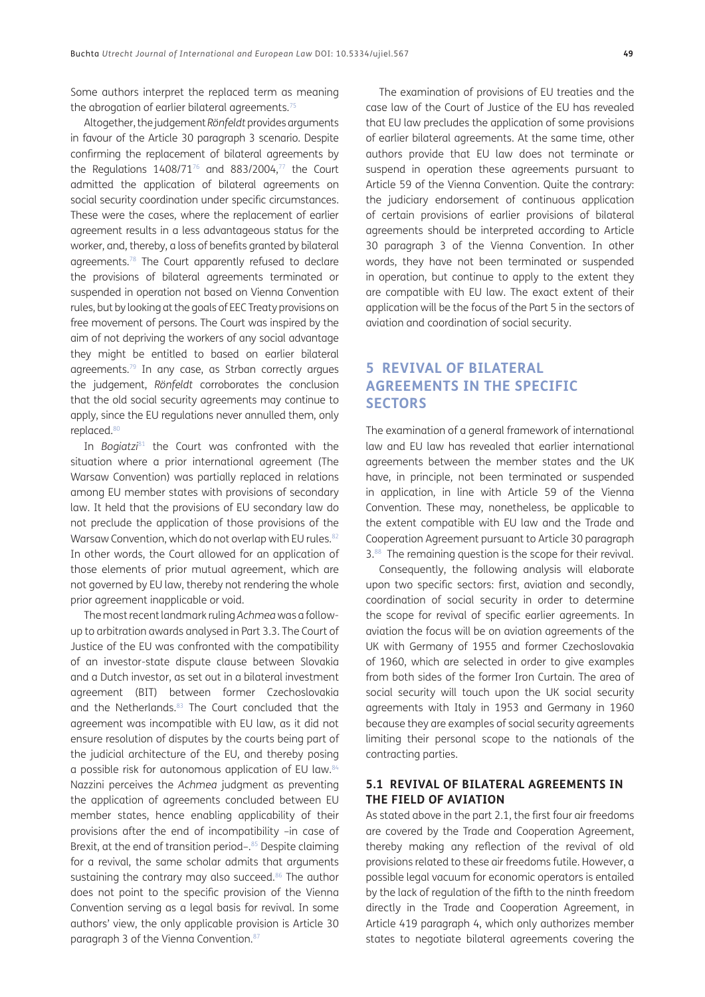Some authors interpret the replaced term as meaning the abrogation of earlier bilateral agreements.<sup>75</sup>

Altogether, the judgement *Rönfeldt* provides arguments in favour of the Article 30 paragraph 3 scenario. Despite confirming the replacement of bilateral agreements by the Regulations  $1408/71^{76}$  and  $883/2004$ ,<sup>77</sup> the Court admitted the application of bilateral agreements on social security coordination under specific circumstances. These were the cases, where the replacement of earlier agreement results in a less advantageous status for the worker, and, thereby, a loss of benefits granted by bilateral agreements[.78](#page-15-22) The Court apparently refused to declare the provisions of bilateral agreements terminated or suspended in operation not based on Vienna Convention rules, but by looking at the goals of EEC Treaty provisions on free movement of persons. The Court was inspired by the aim of not depriving the workers of any social advantage they might be entitled to based on earlier bilateral agreements[.79](#page-15-23) In any case, as Strban correctly argues the judgement, *Rönfeldt* corroborates the conclusion that the old social security agreements may continue to apply, since the EU regulations never annulled them, only replaced[.80](#page-15-24)

In *Bogiatzi<sup>81</sup>* the Court was confronted with the situation where a prior international agreement (The Warsaw Convention) was partially replaced in relations among EU member states with provisions of secondary law. It held that the provisions of EU secondary law do not preclude the application of those provisions of the Warsaw Convention, which do not overlap with EU rules.<sup>82</sup> In other words, the Court allowed for an application of those elements of prior mutual agreement, which are not governed by EU law, thereby not rendering the whole prior agreement inapplicable or void.

The most recent landmark ruling *Achmea* was a followup to arbitration awards analysed in Part 3.3. The Court of Justice of the EU was confronted with the compatibility of an investor-state dispute clause between Slovakia and a Dutch investor, as set out in a bilateral investment agreement (BIT) between former Czechoslovakia and the Netherlands.<sup>83</sup> The Court concluded that the agreement was incompatible with EU law, as it did not ensure resolution of disputes by the courts being part of the judicial architecture of the EU, and thereby posing a possible risk for autonomous application of EU law[.84](#page-15-28) Nazzini perceives the *Achmea* judgment as preventing the application of agreements concluded between EU member states, hence enabling applicability of their provisions after the end of incompatibility –in case of Brexit, at the end of transition period-.<sup>85</sup> Despite claiming for a revival, the same scholar admits that arguments sustaining the contrary may also succeed.<sup>86</sup> The author does not point to the specific provision of the Vienna Convention serving as a legal basis for revival. In some authors' view, the only applicable provision is Article 30 paragraph 3 of the Vienna Convention.<sup>[87](#page-15-31)</sup>

The examination of provisions of EU treaties and the case law of the Court of Justice of the EU has revealed that EU law precludes the application of some provisions of earlier bilateral agreements. At the same time, other authors provide that EU law does not terminate or suspend in operation these agreements pursuant to Article 59 of the Vienna Convention. Quite the contrary: the judiciary endorsement of continuous application of certain provisions of earlier provisions of bilateral agreements should be interpreted according to Article 30 paragraph 3 of the Vienna Convention. In other words, they have not been terminated or suspended in operation, but continue to apply to the extent they are compatible with EU law. The exact extent of their application will be the focus of the Part 5 in the sectors of aviation and coordination of social security.

# **5 REVIVAL OF BILATERAL AGREEMENTS IN THE SPECIFIC SECTORS**

The examination of a general framework of international law and EU law has revealed that earlier international agreements between the member states and the UK have, in principle, not been terminated or suspended in application, in line with Article 59 of the Vienna Convention. These may, nonetheless, be applicable to the extent compatible with EU law and the Trade and Cooperation Agreement pursuant to Article 30 paragraph 3[.88](#page-15-32) The remaining question is the scope for their revival.

Consequently, the following analysis will elaborate upon two specific sectors: first, aviation and secondly, coordination of social security in order to determine the scope for revival of specific earlier agreements. In aviation the focus will be on aviation agreements of the UK with Germany of 1955 and former Czechoslovakia of 1960, which are selected in order to give examples from both sides of the former Iron Curtain. The area of social security will touch upon the UK social security agreements with Italy in 1953 and Germany in 1960 because they are examples of social security agreements limiting their personal scope to the nationals of the contracting parties.

### **5.1 REVIVAL OF BILATERAL AGREEMENTS IN THE FIELD OF AVIATION**

As stated above in the part 2.1, the first four air freedoms are covered by the Trade and Cooperation Agreement, thereby making any reflection of the revival of old provisions related to these air freedoms futile. However, a possible legal vacuum for economic operators is entailed by the lack of regulation of the fifth to the ninth freedom directly in the Trade and Cooperation Agreement, in Article 419 paragraph 4, which only authorizes member states to negotiate bilateral agreements covering the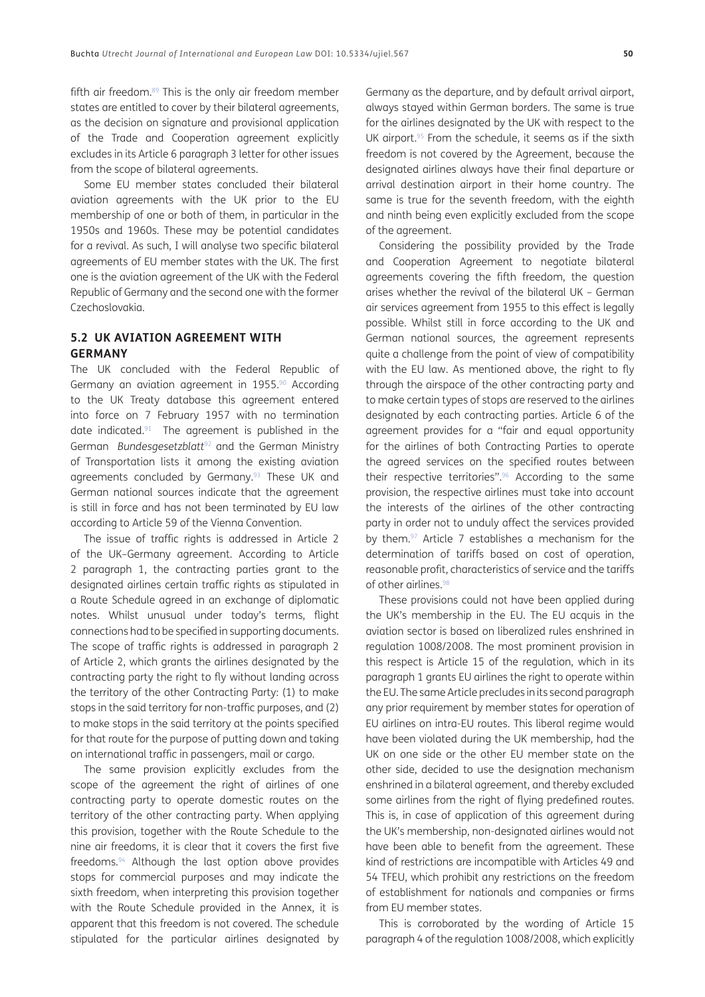fifth air freedom. $89$  This is the only air freedom member states are entitled to cover by their bilateral agreements, as the decision on signature and provisional application of the Trade and Cooperation agreement explicitly excludes in its Article 6 paragraph 3 letter for other issues from the scope of bilateral agreements.

Some EU member states concluded their bilateral aviation agreements with the UK prior to the EU membership of one or both of them, in particular in the 1950s and 1960s. These may be potential candidates for a revival. As such, I will analyse two specific bilateral agreements of EU member states with the UK. The first one is the aviation agreement of the UK with the Federal Republic of Germany and the second one with the former Czechoslovakia.

#### **5.2 UK AVIATION AGREEMENT WITH GERMANY**

The UK concluded with the Federal Republic of Germany an aviation agreement in 1955.[90](#page-15-34) According to the UK Treaty database this agreement entered into force on 7 February 1957 with no termination date indicated[.91](#page-15-35) The agreement is published in the German *Bundesgesetzblatt*92 and the German Ministry of Transportation lists it among the existing aviation agreements concluded by Germany.<sup>93</sup> These UK and German national sources indicate that the agreement is still in force and has not been terminated by EU law according to Article 59 of the Vienna Convention.

The issue of traffic rights is addressed in Article 2 of the UK–Germany agreement. According to Article 2 paragraph 1, the contracting parties grant to the designated airlines certain traffic rights as stipulated in a Route Schedule agreed in an exchange of diplomatic notes. Whilst unusual under today's terms, flight connections had to be specified in supporting documents. The scope of traffic rights is addressed in paragraph 2 of Article 2, which grants the airlines designated by the contracting party the right to fly without landing across the territory of the other Contracting Party: (1) to make stops in the said territory for non-traffic purposes, and (2) to make stops in the said territory at the points specified for that route for the purpose of putting down and taking on international traffic in passengers, mail or cargo.

The same provision explicitly excludes from the scope of the agreement the right of airlines of one contracting party to operate domestic routes on the territory of the other contracting party. When applying this provision, together with the Route Schedule to the nine air freedoms, it is clear that it covers the first five freedoms.94 Although the last option above provides stops for commercial purposes and may indicate the sixth freedom, when interpreting this provision together with the Route Schedule provided in the Annex, it is apparent that this freedom is not covered. The schedule stipulated for the particular airlines designated by

Germany as the departure, and by default arrival airport, always stayed within German borders. The same is true for the airlines designated by the UK with respect to the UK airport.<sup>95</sup> From the schedule, it seems as if the sixth freedom is not covered by the Agreement, because the designated airlines always have their final departure or arrival destination airport in their home country. The same is true for the seventh freedom, with the eighth and ninth being even explicitly excluded from the scope of the agreement.

Considering the possibility provided by the Trade and Cooperation Agreement to negotiate bilateral agreements covering the fifth freedom, the question arises whether the revival of the bilateral UK – German air services agreement from 1955 to this effect is legally possible. Whilst still in force according to the UK and German national sources, the agreement represents quite a challenge from the point of view of compatibility with the EU law. As mentioned above, the right to fly through the airspace of the other contracting party and to make certain types of stops are reserved to the airlines designated by each contracting parties. Article 6 of the agreement provides for a "fair and equal opportunity for the airlines of both Contracting Parties to operate the agreed services on the specified routes between their respective territories".<sup>96</sup> According to the same provision, the respective airlines must take into account the interests of the airlines of the other contracting party in order not to unduly affect the services provided by them.<sup>97</sup> Article 7 establishes a mechanism for the determination of tariffs based on cost of operation, reasonable profit, characteristics of service and the tariffs of other airlines.<sup>98</sup>

These provisions could not have been applied during the UK's membership in the EU. The EU acquis in the aviation sector is based on liberalized rules enshrined in regulation 1008/2008. The most prominent provision in this respect is Article 15 of the regulation, which in its paragraph 1 grants EU airlines the right to operate within the EU. The same Article precludes in its second paragraph any prior requirement by member states for operation of EU airlines on intra-EU routes. This liberal regime would have been violated during the UK membership, had the UK on one side or the other EU member state on the other side, decided to use the designation mechanism enshrined in a bilateral agreement, and thereby excluded some airlines from the right of flying predefined routes. This is, in case of application of this agreement during the UK's membership, non-designated airlines would not have been able to benefit from the agreement. These kind of restrictions are incompatible with Articles 49 and 54 TFEU, which prohibit any restrictions on the freedom of establishment for nationals and companies or firms from EU member states.

This is corroborated by the wording of Article 15 paragraph 4 of the regulation 1008/2008, which explicitly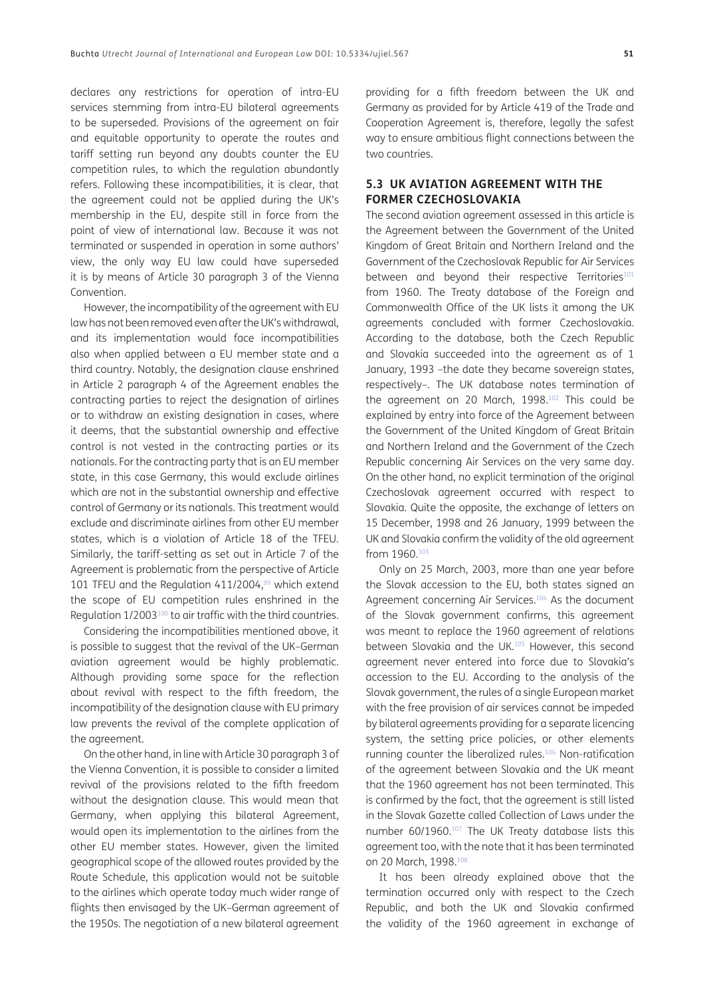declares any restrictions for operation of intra-EU services stemming from intra-EU bilateral agreements to be superseded. Provisions of the agreement on fair and equitable opportunity to operate the routes and tariff setting run beyond any doubts counter the EU competition rules, to which the regulation abundantly refers. Following these incompatibilities, it is clear, that the agreement could not be applied during the UK's membership in the EU, despite still in force from the point of view of international law. Because it was not terminated or suspended in operation in some authors' view, the only way EU law could have superseded it is by means of Article 30 paragraph 3 of the Vienna Convention.

However, the incompatibility of the agreement with EU law has not been removed even after the UK's withdrawal, and its implementation would face incompatibilities also when applied between a EU member state and a third country. Notably, the designation clause enshrined in Article 2 paragraph 4 of the Agreement enables the contracting parties to reject the designation of airlines or to withdraw an existing designation in cases, where it deems, that the substantial ownership and effective control is not vested in the contracting parties or its nationals. For the contracting party that is an EU member state, in this case Germany, this would exclude airlines which are not in the substantial ownership and effective control of Germany or its nationals. This treatment would exclude and discriminate airlines from other EU member states, which is a violation of Article 18 of the TFEU. Similarly, the tariff-setting as set out in Article 7 of the Agreement is problematic from the perspective of Article 101 TFEU and the Regulation 411/2004,<sup>99</sup> which extend the scope of EU competition rules enshrined in the Regulation 1/2003<sup>100</sup> to air traffic with the third countries.

Considering the incompatibilities mentioned above, it is possible to suggest that the revival of the UK–German aviation agreement would be highly problematic. Although providing some space for the reflection about revival with respect to the fifth freedom, the incompatibility of the designation clause with EU primary law prevents the revival of the complete application of the agreement.

On the other hand, in line with Article 30 paragraph 3 of the Vienna Convention, it is possible to consider a limited revival of the provisions related to the fifth freedom without the designation clause. This would mean that Germany, when applying this bilateral Agreement, would open its implementation to the airlines from the other EU member states. However, given the limited geographical scope of the allowed routes provided by the Route Schedule, this application would not be suitable to the airlines which operate today much wider range of flights then envisaged by the UK–German agreement of the 1950s. The negotiation of a new bilateral agreement

providing for a fifth freedom between the UK and Germany as provided for by Article 419 of the Trade and Cooperation Agreement is, therefore, legally the safest way to ensure ambitious flight connections between the two countries.

#### **5.3 UK AVIATION AGREEMENT WITH THE FORMER CZECHOSLOVAKIA**

The second aviation agreement assessed in this article is the Agreement between the Government of the United Kingdom of Great Britain and Northern Ireland and the Government of the Czechoslovak Republic for Air Services between and beyond their respective Territories<sup>[101](#page-15-37)</sup> from 1960. The Treaty database of the Foreign and Commonwealth Office of the UK lists it among the UK agreements concluded with former Czechoslovakia. According to the database, both the Czech Republic and Slovakia succeeded into the agreement as of 1 January, 1993 –the date they became sovereign states, respectively–. The UK database notes termination of the agreement on 20 March, 1998[.102](#page-16-0) This could be explained by entry into force of the Agreement between the Government of the United Kingdom of Great Britain and Northern Ireland and the Government of the Czech Republic concerning Air Services on the very same day. On the other hand, no explicit termination of the original Czechoslovak agreement occurred with respect to Slovakia. Quite the opposite, the exchange of letters on 15 December, 1998 and 26 January, 1999 between the UK and Slovakia confirm the validity of the old agreement from 1960[.103](#page-16-1)

Only on 25 March, 2003, more than one year before the Slovak accession to the EU, both states signed an Agreement concerning Air Services.[104](#page-16-2) As the document of the Slovak government confirms, this agreement was meant to replace the 1960 agreement of relations between Slovakia and the UK.<sup>105</sup> However, this second agreement never entered into force due to Slovakia's accession to the EU. According to the analysis of the Slovak government, the rules of a single European market with the free provision of air services cannot be impeded by bilateral agreements providing for a separate licencing system, the setting price policies, or other elements running counter the liberalized rules[.106](#page-16-3) Non-ratification of the agreement between Slovakia and the UK meant that the 1960 agreement has not been terminated. This is confirmed by the fact, that the agreement is still listed in the Slovak Gazette called Collection of Laws under the number 60/1960.107 The UK Treaty database lists this agreement too, with the note that it has been terminated on 20 March, 1998.[108](#page-16-4)

It has been already explained above that the termination occurred only with respect to the Czech Republic, and both the UK and Slovakia confirmed the validity of the 1960 agreement in exchange of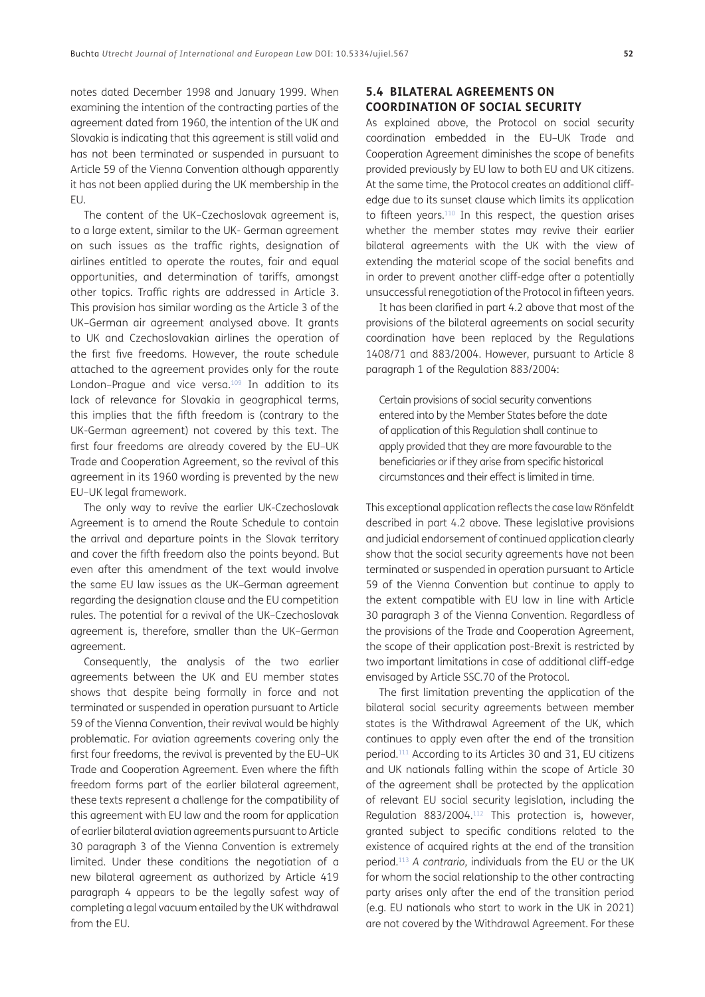notes dated December 1998 and January 1999. When examining the intention of the contracting parties of the agreement dated from 1960, the intention of the UK and Slovakia is indicating that this agreement is still valid and has not been terminated or suspended in pursuant to Article 59 of the Vienna Convention although apparently it has not been applied during the UK membership in the EU.

The content of the UK–Czechoslovak agreement is, to a large extent, similar to the UK- German agreement on such issues as the traffic rights, designation of airlines entitled to operate the routes, fair and equal opportunities, and determination of tariffs, amongst other topics. Traffic rights are addressed in Article 3. This provision has similar wording as the Article 3 of the UK–German air agreement analysed above. It grants to UK and Czechoslovakian airlines the operation of the first five freedoms. However, the route schedule attached to the agreement provides only for the route London-Prague and vice versa.<sup>[109](#page-16-5)</sup> In addition to its lack of relevance for Slovakia in geographical terms, this implies that the fifth freedom is (contrary to the UK-German agreement) not covered by this text. The first four freedoms are already covered by the EU–UK Trade and Cooperation Agreement, so the revival of this agreement in its 1960 wording is prevented by the new EU–UK legal framework.

The only way to revive the earlier UK-Czechoslovak Agreement is to amend the Route Schedule to contain the arrival and departure points in the Slovak territory and cover the fifth freedom also the points beyond. But even after this amendment of the text would involve the same EU law issues as the UK–German agreement regarding the designation clause and the EU competition rules. The potential for a revival of the UK–Czechoslovak agreement is, therefore, smaller than the UK–German agreement.

Consequently, the analysis of the two earlier agreements between the UK and EU member states shows that despite being formally in force and not terminated or suspended in operation pursuant to Article 59 of the Vienna Convention, their revival would be highly problematic. For aviation agreements covering only the first four freedoms, the revival is prevented by the EU–UK Trade and Cooperation Agreement. Even where the fifth freedom forms part of the earlier bilateral agreement, these texts represent a challenge for the compatibility of this agreement with EU law and the room for application of earlier bilateral aviation agreements pursuant to Article 30 paragraph 3 of the Vienna Convention is extremely limited. Under these conditions the negotiation of a new bilateral agreement as authorized by Article 419 paragraph 4 appears to be the legally safest way of completing a legal vacuum entailed by the UK withdrawal from the EU.

### **5.4 BILATERAL AGREEMENTS ON COORDINATION OF SOCIAL SECURITY**

As explained above, the Protocol on social security coordination embedded in the EU–UK Trade and Cooperation Agreement diminishes the scope of benefits provided previously by EU law to both EU and UK citizens. At the same time, the Protocol creates an additional cliffedge due to its sunset clause which limits its application to fifteen years.<sup>110</sup> In this respect, the question arises whether the member states may revive their earlier bilateral agreements with the UK with the view of extending the material scope of the social benefits and in order to prevent another cliff-edge after a potentially unsuccessful renegotiation of the Protocol in fifteen years.

It has been clarified in part 4.2 above that most of the provisions of the bilateral agreements on social security coordination have been replaced by the Regulations 1408/71 and 883/2004. However, pursuant to Article 8 paragraph 1 of the Regulation 883/2004:

Certain provisions of social security conventions entered into by the Member States before the date of application of this Regulation shall continue to apply provided that they are more favourable to the beneficiaries or if they arise from specific historical circumstances and their effect is limited in time.

This exceptional application reflects the case law Rönfeldt described in part 4.2 above. These legislative provisions and judicial endorsement of continued application clearly show that the social security agreements have not been terminated or suspended in operation pursuant to Article 59 of the Vienna Convention but continue to apply to the extent compatible with EU law in line with Article 30 paragraph 3 of the Vienna Convention. Regardless of the provisions of the Trade and Cooperation Agreement, the scope of their application post-Brexit is restricted by two important limitations in case of additional cliff-edge envisaged by Article SSC.70 of the Protocol.

The first limitation preventing the application of the bilateral social security agreements between member states is the Withdrawal Agreement of the UK, which continues to apply even after the end of the transition period.111 According to its Articles 30 and 31, EU citizens and UK nationals falling within the scope of Article 30 of the agreement shall be protected by the application of relevant EU social security legislation, including the Regulation 883/2004.112 This protection is, however, granted subject to specific conditions related to the existence of acquired rights at the end of the transition period.113 *A contrario,* individuals from the EU or the UK for whom the social relationship to the other contracting party arises only after the end of the transition period (e.g. EU nationals who start to work in the UK in 2021) are not covered by the Withdrawal Agreement. For these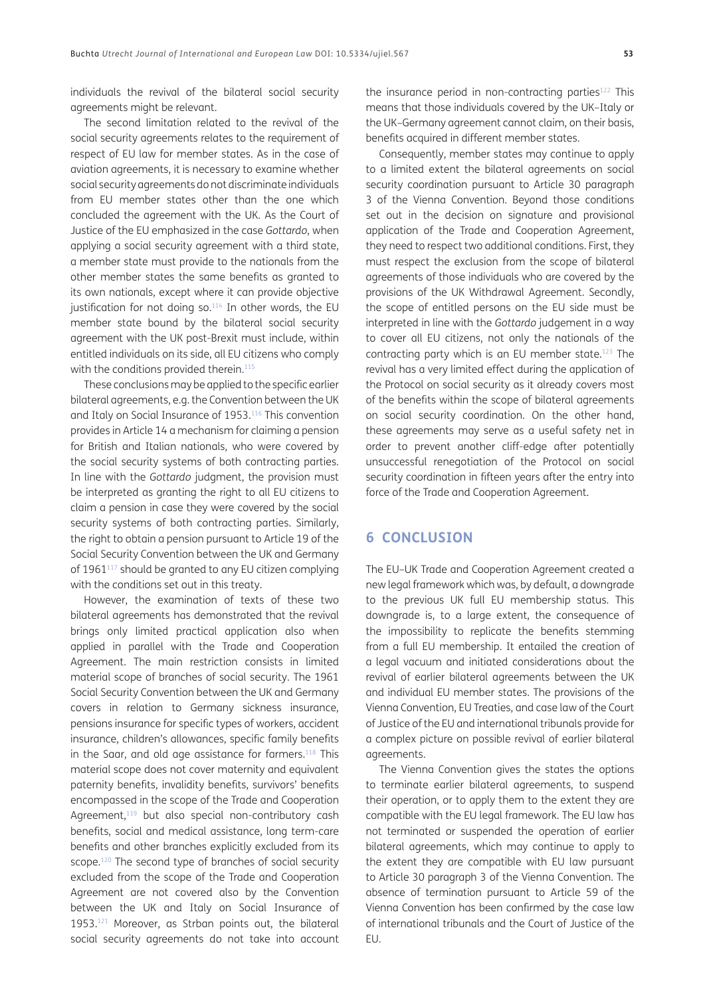individuals the revival of the bilateral social security agreements might be relevant.

The second limitation related to the revival of the social security agreements relates to the requirement of respect of EU law for member states. As in the case of aviation agreements, it is necessary to examine whether social security agreements do not discriminate individuals from EU member states other than the one which concluded the agreement with the UK. As the Court of Justice of the EU emphasized in the case *Gottardo*, when applying a social security agreement with a third state, a member state must provide to the nationals from the other member states the same benefits as granted to its own nationals, except where it can provide objective justification for not doing so.<sup>114</sup> In other words, the EU member state bound by the bilateral social security agreement with the UK post-Brexit must include, within entitled individuals on its side, all EU citizens who comply with the conditions provided therein.<sup>115</sup>

These conclusions may be applied to the specific earlier bilateral agreements, e.g. the Convention between the UK and Italy on Social Insurance of 1953[.116](#page-16-8) This convention provides in Article 14 a mechanism for claiming a pension for British and Italian nationals, who were covered by the social security systems of both contracting parties. In line with the *Gottardo* judgment, the provision must be interpreted as granting the right to all EU citizens to claim a pension in case they were covered by the social security systems of both contracting parties. Similarly, the right to obtain a pension pursuant to Article 19 of the Social Security Convention between the UK and Germany of 1961<sup>117</sup> should be granted to any EU citizen complying with the conditions set out in this treaty.

However, the examination of texts of these two bilateral agreements has demonstrated that the revival brings only limited practical application also when applied in parallel with the Trade and Cooperation Agreement. The main restriction consists in limited material scope of branches of social security. The 1961 Social Security Convention between the UK and Germany covers in relation to Germany sickness insurance, pensions insurance for specific types of workers, accident insurance, children's allowances, specific family benefits in the Saar, and old age assistance for farmers.<sup>118</sup> This material scope does not cover maternity and equivalent paternity benefits, invalidity benefits, survivors' benefits encompassed in the scope of the Trade and Cooperation Agreement,<sup>119</sup> but also special non-contributory cash benefits, social and medical assistance, long term-care benefits and other branches explicitly excluded from its scope.<sup>120</sup> The second type of branches of social security excluded from the scope of the Trade and Cooperation Agreement are not covered also by the Convention between the UK and Italy on Social Insurance of 1953[.121](#page-16-13) Moreover, as Strban points out, the bilateral social security agreements do not take into account the insurance period in non-contracting parties<sup>122</sup> This means that those individuals covered by the UK–Italy or the UK–Germany agreement cannot claim, on their basis, benefits acquired in different member states.

Consequently, member states may continue to apply to a limited extent the bilateral agreements on social security coordination pursuant to Article 30 paragraph 3 of the Vienna Convention. Beyond those conditions set out in the decision on signature and provisional application of the Trade and Cooperation Agreement, they need to respect two additional conditions. First, they must respect the exclusion from the scope of bilateral agreements of those individuals who are covered by the provisions of the UK Withdrawal Agreement. Secondly, the scope of entitled persons on the EU side must be interpreted in line with the *Gottardo* judgement in a way to cover all EU citizens, not only the nationals of the contracting party which is an EU member state.[123](#page-16-15) The revival has a very limited effect during the application of the Protocol on social security as it already covers most of the benefits within the scope of bilateral agreements on social security coordination. On the other hand, these agreements may serve as a useful safety net in order to prevent another cliff-edge after potentially unsuccessful renegotiation of the Protocol on social security coordination in fifteen years after the entry into force of the Trade and Cooperation Agreement.

# **6 CONCLUSION**

The EU–UK Trade and Cooperation Agreement created a new legal framework which was, by default, a downgrade to the previous UK full EU membership status. This downgrade is, to a large extent, the consequence of the impossibility to replicate the benefits stemming from a full EU membership. It entailed the creation of a legal vacuum and initiated considerations about the revival of earlier bilateral agreements between the UK and individual EU member states. The provisions of the Vienna Convention, EU Treaties, and case law of the Court of Justice of the EU and international tribunals provide for a complex picture on possible revival of earlier bilateral agreements.

The Vienna Convention gives the states the options to terminate earlier bilateral agreements, to suspend their operation, or to apply them to the extent they are compatible with the EU legal framework. The EU law has not terminated or suspended the operation of earlier bilateral agreements, which may continue to apply to the extent they are compatible with EU law pursuant to Article 30 paragraph 3 of the Vienna Convention. The absence of termination pursuant to Article 59 of the Vienna Convention has been confirmed by the case law of international tribunals and the Court of Justice of the EU.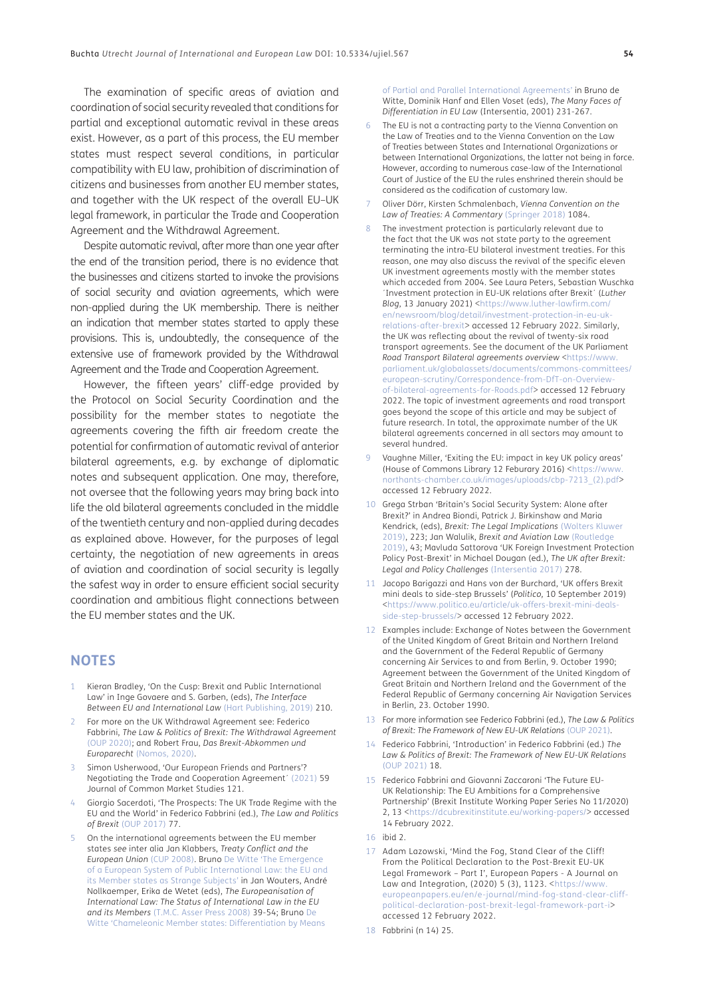The examination of specific areas of aviation and coordination of social security revealed that conditions for partial and exceptional automatic revival in these areas exist. However, as a part of this process, the EU member states must respect several conditions, in particular compatibility with EU law, prohibition of discrimination of citizens and businesses from another EU member states, and together with the UK respect of the overall EU–UK legal framework, in particular the Trade and Cooperation Agreement and the Withdrawal Agreement.

Despite automatic revival, after more than one year after the end of the transition period, there is no evidence that the businesses and citizens started to invoke the provisions of social security and aviation agreements, which were non-applied during the UK membership. There is neither an indication that member states started to apply these provisions. This is, undoubtedly, the consequence of the extensive use of framework provided by the Withdrawal Agreement and the Trade and Cooperation Agreement.

However, the fifteen years' cliff-edge provided by the Protocol on Social Security Coordination and the possibility for the member states to negotiate the agreements covering the fifth air freedom create the potential for confirmation of automatic revival of anterior bilateral agreements, e.g. by exchange of diplomatic notes and subsequent application. One may, therefore, not oversee that the following years may bring back into life the old bilateral agreements concluded in the middle of the twentieth century and non-applied during decades as explained above. However, for the purposes of legal certainty, the negotiation of new agreements in areas of aviation and coordination of social security is legally the safest way in order to ensure efficient social security coordination and ambitious flight connections between the EU member states and the UK.

#### **NOTES**

- <span id="page-13-0"></span>Kieran Bradley, 'On the Cusp: Brexit and Public International Law' in Inge Govaere and S. Garben, (eds), *The Interface Between EU and International Law* [\(Hart Publishing, 2019\)](#page-16-16) 210.
- <span id="page-13-1"></span>2 For more on the UK Withdrawal Agreement see: Federico Fabbrini, *The Law & Politics of Brexit: The Withdrawal Agreement* (OUP 2020); and Robert Frau, *Das Brexit-Abkommen und Europarecht* (Nomos, 2020).
- <span id="page-13-2"></span>3 Simon Usherwood, 'Our European Friends and Partners'? Negotiating the Trade and Cooperation Agreement´ [\(2021\)](#page-17-0) 59 Journal of Common Market Studies 121.
- <span id="page-13-3"></span>4 Giorgio Sacerdoti, 'The Prospects: The UK Trade Regime with the EU and the World' in Federico Fabbrini (ed.), *The Law and Politics of Brexit* [\(OUP 2017\)](#page-17-1) 77.
- <span id="page-13-4"></span>5 On the international agreements between the EU member states *see* inter alia Jan Klabbers, *Treaty Conflict and the European Union* (CUP 2008). Bruno [De Witte 'The Emergence](#page-16-17)  [of a European System of Public International Law: the EU and](#page-16-17)  [its Member states as Strange Subjects' i](#page-16-17)n Jan Wouters, André Nollkaemper, Erika de Wetet (eds), *The Europeanisation of International Law: The Status of International Law in the EU and its Members* [\(T.M.C. Asser Press 2008\)](#page-17-2) 39-54; Bruno [De](#page-16-18)  [Witte 'Chameleonic Member states: Differentiation by Means](#page-16-18)

[of Partial and Parallel International Agreements'](#page-16-18) in Bruno de Witte, Dominik Hanf and Ellen Voset (eds), *The Many Faces of Differentiation in EU Law* (Intersentia, 2001) 231-267.

- <span id="page-13-5"></span>The EU is not a contracting party to the Vienna Convention on the Law of Treaties and to the Vienna Convention on the Law of Treaties between States and International Organizations or between International Organizations, the latter not being in force. However, according to numerous case-law of the International Court of Justice of the EU the rules enshrined therein should be considered as the codification of customary law.
- <span id="page-13-6"></span>7 Oliver Dörr, Kirsten Schmalenbach, *Vienna Convention on the Law of Treaties: A Commentary* [\(Springer 2018\)](#page-16-19) 1084.
- <span id="page-13-7"></span>8 The investment protection is particularly relevant due to the fact that the UK was not state party to the agreement terminating the intra-EU bilateral investment treaties. For this reason, one may also discuss the revival of the specific eleven UK investment agreements mostly with the member states which acceded from 2004. See Laura Peters, Sebastian Wuschka ´Investment protection in EU-UK relations after Brexit´ (*Luther Blog*, 13 January 2021) <[https://www.luther-lawfirm.com/](https://www.luther-lawfirm.com/en/newsroom/blog/detail/investment-protection-in-eu-uk-relations-after-brexit) [en/newsroom/blog/detail/investment-protection-in-eu-uk](https://www.luther-lawfirm.com/en/newsroom/blog/detail/investment-protection-in-eu-uk-relations-after-brexit)[relations-after-brexit>](https://www.luther-lawfirm.com/en/newsroom/blog/detail/investment-protection-in-eu-uk-relations-after-brexit) accessed 12 February 2022. Similarly, the UK was reflecting about the revival of twenty-six road transport agreements. See the document of the UK Parliament *Road Transport Bilateral agreements overview* <[https://www.](https://www.parliament.uk/globalassets/documents/commons-committees/european-scrutiny/Correspondence-from-DfT-on-Overview-of-bilateral-agreements-for-Roads.pdf) [parliament.uk/globalassets/documents/commons-committees/](https://www.parliament.uk/globalassets/documents/commons-committees/european-scrutiny/Correspondence-from-DfT-on-Overview-of-bilateral-agreements-for-Roads.pdf) [european-scrutiny/Correspondence-from-DfT-on-Overview](https://www.parliament.uk/globalassets/documents/commons-committees/european-scrutiny/Correspondence-from-DfT-on-Overview-of-bilateral-agreements-for-Roads.pdf)[of-bilateral-agreements-for-Roads.pdf](https://www.parliament.uk/globalassets/documents/commons-committees/european-scrutiny/Correspondence-from-DfT-on-Overview-of-bilateral-agreements-for-Roads.pdf)> accessed 12 February 2022. The topic of investment agreements and road transport goes beyond the scope of this article and may be subject of future research. In total, the approximate number of the UK bilateral agreements concerned in all sectors may amount to several hundred.
- <span id="page-13-8"></span>9 Vaughne Miller, 'Exiting the EU: impact in key UK policy areas' (House of Commons Library 12 Feburary 2016) [<https://www.](https://www.northants-chamber.co.uk/images/uploads/cbp-7213_(2).pdf) [northants-chamber.co.uk/images/uploads/cbp-7213\\_\(2\).pdf>](https://www.northants-chamber.co.uk/images/uploads/cbp-7213_(2).pdf) accessed 12 February 2022.
- 10 Grega Strban 'Britain's Social Security System: Alone after Brexit?' in Andrea Biondi, Patrick J. Birkinshaw and Maria Kendrick, (eds), *Brexit: The Legal Implications* [\(Wolters Kluwer](#page-17-3)  [2019\),](#page-17-3) 223; Jan Walulik, *Brexit and Aviation Law* (Routledge 2019), 43; Mavluda Sattorova 'UK Foreign Investment Protection Policy Post-Brexit' in Michael Dougan (ed.), *The UK after Brexit: Legal and Policy Challenges* [\(Intersentia 2017\)](#page-17-4) 278.
- <span id="page-13-9"></span>11 Jacopo Barigazzi and Hans von der Burchard, 'UK offers Brexit mini deals to side-step Brussels' (*Politico,* 10 September 2019) [<https://www.politico.eu/article/uk-offers-brexit-mini-deals](https://www.politico.eu/article/uk-offers-brexit-mini-deals-side-step-brussels/)[side-step-brussels/](https://www.politico.eu/article/uk-offers-brexit-mini-deals-side-step-brussels/)> accessed 12 February 2022.
- <span id="page-13-10"></span>12 Examples include: Exchange of Notes between the Government of the United Kingdom of Great Britain and Northern Ireland and the Government of the Federal Republic of Germany concerning Air Services to and from Berlin, 9. October 1990; Agreement between the Government of the United Kingdom of Great Britain and Northern Ireland and the Government of the Federal Republic of Germany concerning Air Navigation Services in Berlin, 23. October 1990.
- <span id="page-13-11"></span>13 For more information see Federico Fabbrini (ed.), *The Law & Politics of Brexit: The Framework of New EU-UK Relations* (OUP 2021).
- 14 Federico Fabbrini, 'Introduction' in Federico Fabbrini (ed.) *The Law & Politics of Brexit: The Framework of New EU-UK Relations* [\(OUP 2021\)](#page-17-5) 18.
- 15 Federico Fabbrini and Giovanni Zaccaroni 'The Future EU-UK Relationship: The EU Ambitions for a Comprehensive Partnership' (Brexit Institute Working Paper Series No 11/2020) 2, 13 <<https://dcubrexitinstitute.eu/working-papers/>> accessed 14 February 2022.
- <span id="page-13-12"></span>16 ibid 2.
- 17 Adam Lazowski, 'Mind the Fog, Stand Clear of the Cliff! From the Political Declaration to the Post-Brexit EU-UK Legal Framework – Part I', European Papers - A Journal on Law and Integration, (2020) 5 (3), 1123. <[https://www.](https://www.europeanpapers.eu/en/e-journal/mind-fog-stand-clear-cliff-political-declaration-post-brexit-legal-framework-part-i) [europeanpapers.eu/en/e-journal/mind-fog-stand-clear-cliff](https://www.europeanpapers.eu/en/e-journal/mind-fog-stand-clear-cliff-political-declaration-post-brexit-legal-framework-part-i)[political-declaration-post-brexit-legal-framework-part-i](https://www.europeanpapers.eu/en/e-journal/mind-fog-stand-clear-cliff-political-declaration-post-brexit-legal-framework-part-i)> accessed 12 February 2022.
- <span id="page-13-13"></span>18 Fabbrini (n 14) 25.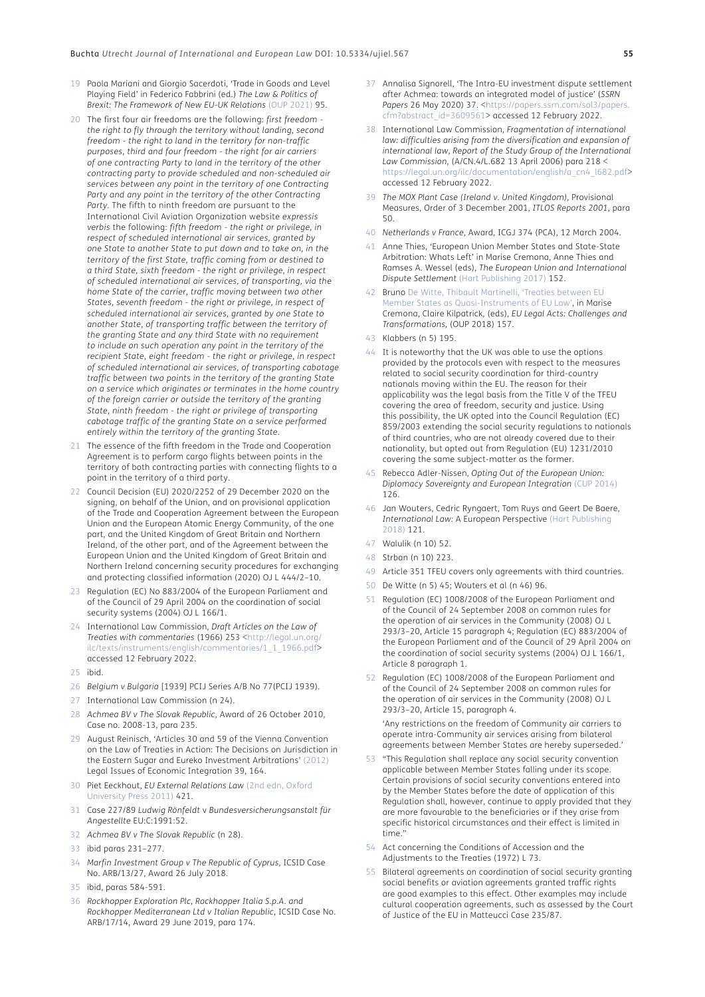- 19 Paola Mariani and Giorgio Sacerdoti, 'Trade in Goods and Level Playing Field' in Federico Fabbrini (ed.) *The Law & Politics of Brexit: The Framework of New EU-UK Relations* [\(OUP 2021\)](#page-17-6) 95.
- <span id="page-14-0"></span>20 The first four air freedoms are the following: *first freedom the right to fly through the territory without landing, second freedom - the right to land in the territory for non-traffic purposes, third and four freedom - the right for air carriers of one contracting Party to land in the territory of the other contracting party to provide scheduled and non-scheduled air services between any point in the territory of one Contracting Party and any point in the territory of the other Contracting Party.* The fifth to ninth freedom are pursuant to the International Civil Aviation Organization website *expressis verbis* the following: *fifth freedom - the right or privilege, in respect of scheduled international air services, granted by one State to another State to put down and to take on, in the territory of the first State, traffic coming from or destined to a third State, sixth freedom - the right or privilege, in respect of scheduled international air services, of transporting, via the home State of the carrier, traffic moving between two other States, seventh freedom - the right or privilege, in respect of scheduled international air services, granted by one State to another State, of transporting traffic between the territory of the granting State and any third State with no requirement to include on such operation any point in the territory of the recipient State, eight freedom - the right or privilege, in respect of scheduled international air services, of transporting cabotage traffic between two points in the territory of the granting State on a service which originates or terminates in the home country of the foreign carrier or outside the territory of the granting State, ninth freedom - the right or privilege of transporting cabotage traffic of the granting State on a service performed entirely within the territory of the granting State.*
- <span id="page-14-1"></span>21 The essence of the fifth freedom in the Trade and Cooperation Agreement is to perform cargo flights between points in the territory of both contracting parties with connecting flights to a point in the territory of a third party.
- <span id="page-14-2"></span>22 Council Decision (EU) 2020/2252 of 29 December 2020 on the signing, on behalf of the Union, and on provisional application of the Trade and Cooperation Agreement between the European Union and the European Atomic Energy Community, of the one part, and the United Kingdom of Great Britain and Northern Ireland, of the other part, and of the Agreement between the European Union and the United Kingdom of Great Britain and Northern Ireland concerning security procedures for exchanging and protecting classified information (2020) OJ L 444/2–10.
- <span id="page-14-3"></span>23 Regulation (EC) No 883/2004 of the European Parliament and of the Council of 29 April 2004 on the coordination of social security systems (2004) OJ L 166/1.
- <span id="page-14-4"></span>24 International Law Commission, *Draft Articles on the Law of Treaties with commentaries* (1966) 253 <[http://legal.un.org/](http://legal.un.org/ilc/texts/instruments/english/commentaries/1_1_1966.pdf) [ilc/texts/instruments/english/commentaries/1\\_1\\_1966.pdf>](http://legal.un.org/ilc/texts/instruments/english/commentaries/1_1_1966.pdf) accessed 12 February 2022.
- <span id="page-14-5"></span>25 ibid.
- <span id="page-14-6"></span>26 *Belgium v Bulgaria* [1939] PCIJ Series A/B No 77(PCIJ 1939).
- <span id="page-14-7"></span>27 International Law Commission (n 24).
- <span id="page-14-8"></span>28 *Achmea BV v The Slovak Republic*, Award of 26 October 2010, Case no. 2008-13, para 235.
- 29 August Reinisch, 'Articles 30 and 59 of the Vienna Convention on the Law of Treaties in Action: The Decisions on Jurisdiction in the Eastern Sugar and Eureko Investment Arbitrations' [\(2012\)](#page-17-7) Legal Issues of Economic Integration 39, 164.
- <span id="page-14-9"></span>30 Piet Eeckhout, *EU External Relations Law* (2nd edn, Oxford University Press 2011) 421.
- 31 Case 227/89 *Ludwig Rönfeldt* v *Bundesversicherungsanstalt für Angestellte* EU:C:1991:52.
- <span id="page-14-10"></span>32 *Achmea BV v The Slovak Republic* (n 28).
- <span id="page-14-11"></span>33 ibid paras 231–277.
- <span id="page-14-12"></span>34 *Marfin Investment Group v The Republic of Cyprus*, ICSID Case No. ARB/13/27, Award 26 July 2018.
- <span id="page-14-13"></span>35 ibid, paras 584-591.
- <span id="page-14-14"></span>36 *Rockhopper Exploration Plc, Rockhopper Italia S.p.A. and Rockhopper Mediterranean Ltd v Italian Republic*, ICSID Case No. ARB/17/14, Award 29 June 2019, para 174.
- 37 Annalisa Signorell, 'The Intra-EU investment dispute settlement after Achmea: towards an integrated model of justice' (*SSRN*  Papers 26 May 2020) 37. <[https://papers.ssrn.com/sol3/papers.](https://papers.ssrn.com/sol3/papers.cfm?abstract_id=3609561) [cfm?abstract\\_id=3609561](https://papers.ssrn.com/sol3/papers.cfm?abstract_id=3609561)> accessed 12 February 2022.
- <span id="page-14-15"></span>38 International Law Commission, *Fragmentation of international law: difficulties arising from the diversification and expansion of international law, Report of the Study Group of the International Law Commission*, (A/CN.4/L.682 13 April 2006) para 218 < [https://legal.un.org/ilc/documentation/english/a\\_cn4\\_l682.pdf](https://legal.un.org/ilc/documentation/english/a_cn4_l682.pdf)> accessed 12 February 2022.
- <span id="page-14-16"></span>39 *The MOX Plant Case (Ireland v. United Kingdom),* Provisional Measures, Order of 3 December 2001, *ITLOS Reports 2001,* para  $50$
- <span id="page-14-17"></span>40 *Netherlands v France*, Award, ICGJ 374 (PCA), 12 March 2004.
- 41 Anne Thies, 'European Union Member States and State-State Arbitration: Whats Left' in Marise Cremona, Anne Thies and Ramses A. Wessel (eds), *The European Union and International Dispute Settlement* [\(Hart Publishing 2017\)](#page-17-8) 152.
- <span id="page-14-18"></span>42 Bruno [De Witte, Thibault Martinelli, 'Treaties between EU](#page-16-20)  [Member States as Quasi-Instruments of EU Law'](#page-16-20), in Marise Cremona, Claire Kilpatrick, (eds), *EU Legal Acts: Challenges and Transformations,* (OUP 2018) 157.
- <span id="page-14-19"></span>43 Klabbers (n 5) 195.
- <span id="page-14-20"></span>44 It is noteworthy that the UK was able to use the options provided by the protocols even with respect to the measures related to social security coordination for third-country nationals moving within the EU. The reason for their applicability was the legal basis from the Title V of the TFEU covering the area of freedom, security and justice. Using this possibility, the UK opted into the Council Regulation (EC) 859/2003 extending the social security regulations to nationals of third countries, who are not already covered due to their nationality, but opted out from Regulation (EU) 1231/2010 covering the same subject-matter as the former.
- <span id="page-14-21"></span>45 Rebecca Adler-Nissen, *Opting Out of the European Union: Diplomacy Sovereignty and European Integration* (CUP 2014) 126.
- <span id="page-14-22"></span>46 Jan Wouters, Cedric Ryngaert, Tom Ruys and Geert De Baere, *International Law:* A European Perspective (Hart Publishing 2018) 121.
- <span id="page-14-23"></span>47 Walulik (n 10) 52.
- <span id="page-14-24"></span>48 Strban (n 10) 223.
- <span id="page-14-25"></span>49 Article 351 TFEU covers only agreements with third countries.
- <span id="page-14-26"></span>50 De Witte (n 5) 45; Wouters et al (n 46) 96.
- <span id="page-14-27"></span>51 Regulation (EC) 1008/2008 of the European Parliament and of the Council of 24 September 2008 on common rules for the operation of air services in the Community (2008) OJ L 293/3–20, Article 15 paragraph 4; Regulation (EC) 883/2004 of the European Parliament and of the Council of 29 April 2004 on the coordination of social security systems (2004) OJ L 166/1, Article 8 paragraph 1.
- <span id="page-14-28"></span>Regulation (EC) 1008/2008 of the European Parliament and of the Council of 24 September 2008 on common rules for the operation of air services in the Community (2008) OJ L 293/3–20, Article 15, paragraph 4.

'Any restrictions on the freedom of Community air carriers to operate intra-Community air services arising from bilateral agreements between Member States are hereby superseded.'

- <span id="page-14-29"></span>53 "This Regulation shall replace any social security convention applicable between Member States falling under its scope. Certain provisions of social security conventions entered into by the Member States before the date of application of this Regulation shall, however, continue to apply provided that they are more favourable to the beneficiaries or if they arise from specific historical circumstances and their effect is limited in time."
- <span id="page-14-30"></span>54 Act concerning the Conditions of Accession and the Adjustments to the Treaties (1972) L 73.
- <span id="page-14-31"></span>55 Bilateral agreements on coordination of social security granting social benefits or aviation agreements granted traffic rights are good examples to this effect. Other examples may include cultural cooperation agreements, such as assessed by the Court of Justice of the EU in Matteucci Case 235/87.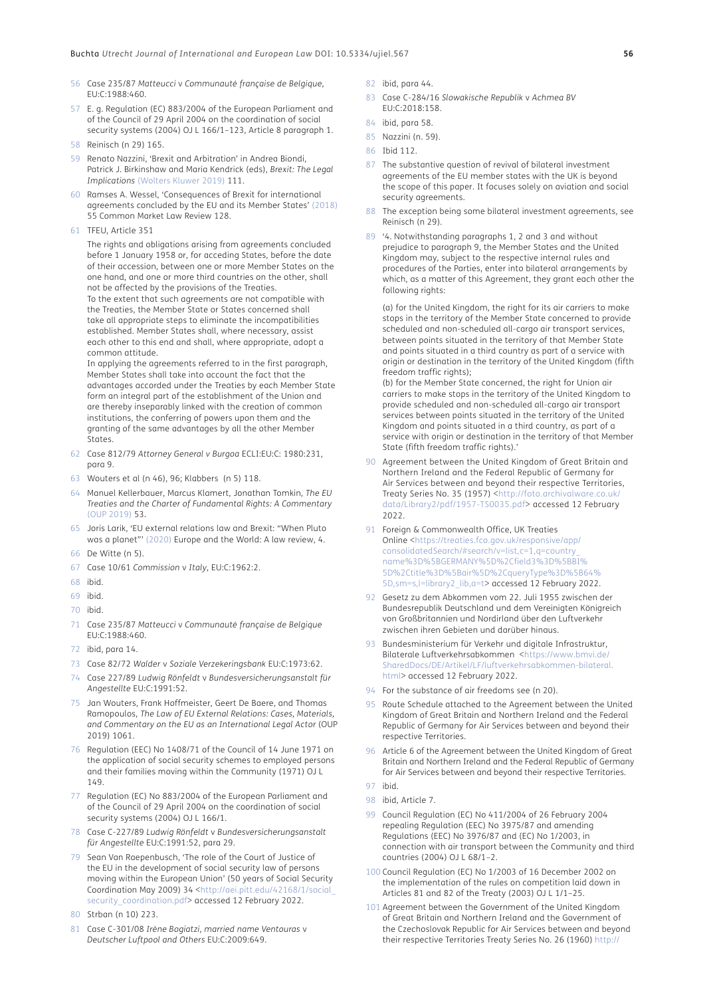- <span id="page-15-0"></span>56 Case 235/87 *Matteucci* v *Communauté française de Belgique,* EU:C:1988:460.
- <span id="page-15-1"></span>57 E. g. Regulation (EC) 883/2004 of the European Parliament and of the Council of 29 April 2004 on the coordination of social security systems (2004) OJ L 166/1–123, Article 8 paragraph 1.
- <span id="page-15-2"></span>58 Reinisch (n 29) 165.
- <span id="page-15-3"></span>59 Renato Nazzini, 'Brexit and Arbitration' in Andrea Biondi, Patrick J. Birkinshaw and Maria Kendrick (eds), *Brexit: The Legal Implications* [\(Wolters Kluwer 2019\)](#page-17-9) 111.
- <span id="page-15-4"></span>60 Ramses A. Wessel, 'Consequences of Brexit for international agreements concluded by the EU and its Member States' [\(2018\)](#page-17-10) 55 Common Market Law Review 128.
- <span id="page-15-5"></span>61 TFEU, Article 351

The rights and obligations arising from agreements concluded before 1 January 1958 or, for acceding States, before the date of their accession, between one or more Member States on the one hand, and one or more third countries on the other, shall not be affected by the provisions of the Treaties. To the extent that such agreements are not compatible with the Treaties, the Member State or States concerned shall

take all appropriate steps to eliminate the incompatibilities established. Member States shall, where necessary, assist each other to this end and shall, where appropriate, adopt a common attitude.

In applying the agreements referred to in the first paragraph, Member States shall take into account the fact that the advantages accorded under the Treaties by each Member State form an integral part of the establishment of the Union and are thereby inseparably linked with the creation of common institutions, the conferring of powers upon them and the granting of the same advantages by all the other Member States.

- <span id="page-15-6"></span>62 Case 812/79 *Attorney General v Burgoa* ECLI:EU:C: 1980:231, para 9.
- <span id="page-15-7"></span>63 Wouters et al (n 46), 96; Klabbers (n 5) 118.
- <span id="page-15-8"></span>64 Manuel Kellerbauer, Marcus Klamert, Jonathan Tomkin, *The EU Treaties and the Charter of Fundamental Rights: A Commentary* (OUP 2019) 53.
- <span id="page-15-9"></span>65 Joris Larik, 'EU external relations law and Brexit: "When Pluto was a planet"' [\(2020\)](#page-17-11) Europe and the World: A law review, 4.
- <span id="page-15-10"></span>66 De Witte (n 5).
- <span id="page-15-11"></span>67 Case 10/61 *Commission* v *Italy,* EU:C:1962:2.
- <span id="page-15-12"></span>68 ibid.
- <span id="page-15-13"></span>69 ibid.
- <span id="page-15-14"></span>70 ibid.
- <span id="page-15-15"></span>71 Case 235/87 *Matteucci* v *Communauté française de Belgique* EU:C:1988:460.
- <span id="page-15-16"></span>72 ibid, para 14.
- <span id="page-15-17"></span>73 Case 82/72 *Walder* v *Soziale Verzekeringsbank* EU:C:1973:62.
- <span id="page-15-18"></span>74 Case 227/89 *Ludwig Rönfeldt* v *Bundesversicherungsanstalt für Angestellte* EU:C:1991:52.
- <span id="page-15-19"></span>75 Jan Wouters, Frank Hoffmeister, Geert De Baere, and Thomas Ramopoulos, *The Law of EU External Relations: Cases, Materials, and Commentary on the EU as an International Legal Actor* (OUP 2019) 1061.
- <span id="page-15-20"></span>76 Regulation (EEC) No 1408/71 of the Council of 14 June 1971 on the application of social security schemes to employed persons and their families moving within the Community (1971) OJ L 149.
- <span id="page-15-21"></span>77 Regulation (EC) No 883/2004 of the European Parliament and of the Council of 29 April 2004 on the coordination of social security systems (2004) OJ L 166/1.
- <span id="page-15-22"></span>78 Case C-227/89 *Ludwig Rönfeldt* v *Bundesversicherungsanstalt für Angestellte* EU:C:1991:52, para 29.
- <span id="page-15-23"></span>79 Sean Van Raepenbusch, 'The role of the Court of Justice of the EU in the development of social security law of persons moving within the European Union' (50 years of Social Security Coordination May 2009) 34 [<http://aei.pitt.edu/42168/1/social\\_](http://aei.pitt.edu/42168/1/social_security_coordination.pdf) [security\\_coordination.pdf](http://aei.pitt.edu/42168/1/social_security_coordination.pdf)> accessed 12 February 2022.
- <span id="page-15-24"></span>80 Strban (n 10) 223.
- <span id="page-15-25"></span>81 Case C-301/08 *Irène Bogiatzi, married name Ventouras* v *Deutscher Luftpool and Others* EU:C:2009:649.
- <span id="page-15-26"></span>82 ibid, para 44.
- <span id="page-15-27"></span>83 Case C-284/16 *Slowakische Republik* v *Achmea BV* EU:C:2018:158.
- <span id="page-15-28"></span>84 ibid, para 58.
- <span id="page-15-29"></span>85 Nazzini (n. 59).
- <span id="page-15-30"></span>86 Ibid 112.
- <span id="page-15-31"></span>87 The substantive question of revival of bilateral investment agreements of the EU member states with the UK is beyond the scope of this paper. It focuses solely on aviation and social security agreements.
- <span id="page-15-32"></span>88 The exception being some bilateral investment agreements, see Reinisch (n 29).
- <span id="page-15-33"></span>89 '4. Notwithstanding paragraphs 1, 2 and 3 and without prejudice to paragraph 9, the Member States and the United Kingdom may, subject to the respective internal rules and procedures of the Parties, enter into bilateral arrangements by which, as a matter of this Agreement, they grant each other the following rights:

(a) for the United Kingdom, the right for its air carriers to make stops in the territory of the Member State concerned to provide scheduled and non-scheduled all-cargo air transport services, between points situated in the territory of that Member State and points situated in a third country as part of a service with origin or destination in the territory of the United Kingdom (fifth freedom traffic rights);

(b) for the Member State concerned, the right for Union air carriers to make stops in the territory of the United Kingdom to provide scheduled and non-scheduled all-cargo air transport services between points situated in the territory of the United Kingdom and points situated in a third country, as part of a service with origin or destination in the territory of that Member State (fifth freedom traffic rights).'

- <span id="page-15-34"></span>90 Agreement between the United Kingdom of Great Britain and Northern Ireland and the Federal Republic of Germany for Air Services between and beyond their respective Territories, Treaty Series No. 35 (1957) <[http://foto.archivalware.co.uk/](http://foto.archivalware.co.uk/data/Library2/pdf/1957-TS0035.pdf) [data/Library2/pdf/1957-TS0035.pdf>](http://foto.archivalware.co.uk/data/Library2/pdf/1957-TS0035.pdf) accessed 12 February 2022.
- <span id="page-15-35"></span>91 Foreign & Commonwealth Office, UK Treaties Online <[https://treaties.fco.gov.uk/responsive/app/](https://treaties.fco.gov.uk/responsive/app/consolidatedSearch/#search/v=list,c=1,q=country_name%3D%5BGERMANY%5D%2Cfield3%3D%5BBI% 5D%2Ctitle%3D%5Bair%5D%2CqueryType%3D%5B64% 5D,sm=s,l=library2_lib,a=t) [consolidatedSearch/#search/v=list,c=1,q=country\\_](https://treaties.fco.gov.uk/responsive/app/consolidatedSearch/#search/v=list,c=1,q=country_name%3D%5BGERMANY%5D%2Cfield3%3D%5BBI% 5D%2Ctitle%3D%5Bair%5D%2CqueryType%3D%5B64% 5D,sm=s,l=library2_lib,a=t) [name%3D%5BGERMANY%5D%2Cfield3%3D%5BBI%](https://treaties.fco.gov.uk/responsive/app/consolidatedSearch/#search/v=list,c=1,q=country_name%3D%5BGERMANY%5D%2Cfield3%3D%5BBI% 5D%2Ctitle%3D%5Bair%5D%2CqueryType%3D%5B64% 5D,sm=s,l=library2_lib,a=t) [5D%2Ctitle%3D%5Bair%5D%2CqueryType%3D%5B64%](https://treaties.fco.gov.uk/responsive/app/consolidatedSearch/#search/v=list,c=1,q=country_name%3D%5BGERMANY%5D%2Cfield3%3D%5BBI% 5D%2Ctitle%3D%5Bair%5D%2CqueryType%3D%5B64% 5D,sm=s,l=library2_lib,a=t) [5D,sm=s,l=library2\\_lib,a=t](https://treaties.fco.gov.uk/responsive/app/consolidatedSearch/#search/v=list,c=1,q=country_name%3D%5BGERMANY%5D%2Cfield3%3D%5BBI% 5D%2Ctitle%3D%5Bair%5D%2CqueryType%3D%5B64% 5D,sm=s,l=library2_lib,a=t)> accessed 12 February 2022.
- 92 Gesetz zu dem Abkommen vom 22. Juli 1955 zwischen der Bundesrepublik Deutschland und dem Vereinigten Königreich von Großbritannien und Nordirland über den Luftverkehr zwischen ihren Gebieten und darüber hinaus.
- 93 Bundesministerium für Verkehr und digitale Infrastruktur, Bilaterale Luftverkehrsabkommen <[https://www.bmvi.de/](https://www.bmvi.de/SharedDocs/DE/Artikel/LF/luftverkehrsabkommen-bilateral.html) [SharedDocs/DE/Artikel/LF/luftverkehrsabkommen-bilateral.](https://www.bmvi.de/SharedDocs/DE/Artikel/LF/luftverkehrsabkommen-bilateral.html) [html>](https://www.bmvi.de/SharedDocs/DE/Artikel/LF/luftverkehrsabkommen-bilateral.html) accessed 12 February 2022.
- 94 For the substance of air freedoms see (n 20).
- 95 Route Schedule attached to the Agreement between the United Kingdom of Great Britain and Northern Ireland and the Federal Republic of Germany for Air Services between and beyond their respective Territories.
- 96 Article 6 of the Agreement between the United Kingdom of Great Britain and Northern Ireland and the Federal Republic of Germany for Air Services between and beyond their respective Territories.
- 97 ibid.
- 98 ibid, Article 7.
- 99 Council Regulation (EC) No 411/2004 of 26 February 2004 repealing Regulation (EEC) No 3975/87 and amending Regulations (EEC) No 3976/87 and (EC) No 1/2003, in connection with air transport between the Community and third countries (2004) OJ L 68/1–2.
- <span id="page-15-36"></span>100 Council Regulation (EC) No 1/2003 of 16 December 2002 on the implementation of the rules on competition laid down in Articles 81 and 82 of the Treaty (2003) OJ L 1/1–25.
- <span id="page-15-37"></span>101 Agreement between the Government of the United Kingdom of Great Britain and Northern Ireland and the Government of the Czechoslovak Republic for Air Services between and beyond their respective Territories Treaty Series No. 26 (1960) [http://](http://foto.archivalware.co.uk/data/Library2/pdf/1960-TS0026.pdf)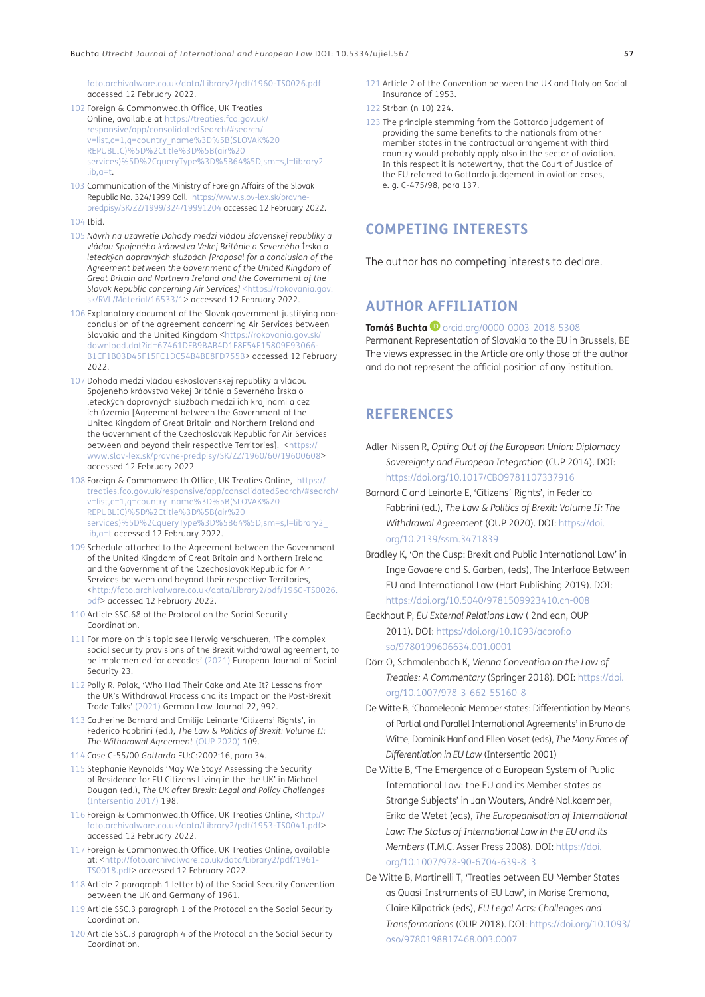[foto.archivalware.co.uk/data/Library2/pdf/1960-TS0026.pdf](http://foto.archivalware.co.uk/data/Library2/pdf/1960-TS0026.pdf) accessed 12 February 2022.

- <span id="page-16-0"></span>102 Foreign & Commonwealth Office, UK Treaties Online, available at [https://treaties.fco.gov.uk/](https://treaties.fco.gov.uk/responsive/app/consolidatedSearch/#search/v=list,c=1,q=country_name%3D%5BGERMANY%5D%2Cfield3%3D%5BBI% 5D%2Ctitle%3D%5Bair%5D%2CqueryType%3D%5B64% 5D,sm=s,l=library2_lib,a=t) [responsive/app/consolidatedSearch/#search/](https://treaties.fco.gov.uk/responsive/app/consolidatedSearch/#search/v=list,c=1,q=country_name%3D%5BGERMANY%5D%2Cfield3%3D%5BBI% 5D%2Ctitle%3D%5Bair%5D%2CqueryType%3D%5B64% 5D,sm=s,l=library2_lib,a=t) [v=list,c=1,q=country\\_name%3D%5B\(SLOVAK%20](https://treaties.fco.gov.uk/responsive/app/consolidatedSearch/#search/v=list,c=1,q=country_name%3D%5BGERMANY%5D%2Cfield3%3D%5BBI% 5D%2Ctitle%3D%5Bair%5D%2CqueryType%3D%5B64% 5D,sm=s,l=library2_lib,a=t) [REPUBLIC\)%5D%2Ctitle%3D%5B\(air%20](https://treaties.fco.gov.uk/responsive/app/consolidatedSearch/#search/v=list,c=1,q=country_name%3D%5BGERMANY%5D%2Cfield3%3D%5BBI% 5D%2Ctitle%3D%5Bair%5D%2CqueryType%3D%5B64% 5D,sm=s,l=library2_lib,a=t) [services\)%5D%2CqueryType%3D%5B64%5D,sm=s,l=library2\\_](https://treaties.fco.gov.uk/responsive/app/consolidatedSearch/#search/v=list,c=1,q=country_name%3D%5BGERMANY%5D%2Cfield3%3D%5BBI% 5D%2Ctitle%3D%5Bair%5D%2CqueryType%3D%5B64% 5D,sm=s,l=library2_lib,a=t) [lib,a=t.](https://treaties.fco.gov.uk/responsive/app/consolidatedSearch/#search/v=list,c=1,q=country_name%3D%5BGERMANY%5D%2Cfield3%3D%5BBI% 5D%2Ctitle%3D%5Bair%5D%2CqueryType%3D%5B64% 5D,sm=s,l=library2_lib,a=t)
- <span id="page-16-1"></span>103 Communication of the Ministry of Foreign Affairs of the Slovak Republic No. 324/1999 Coll. [https://www.slov-lex.sk/pravne](https://www.slov-lex.sk/pravne-predpisy/SK/ZZ/1999/324/19991204)[predpisy/SK/ZZ/1999/324/19991204](https://www.slov-lex.sk/pravne-predpisy/SK/ZZ/1999/324/19991204) accessed 12 February 2022.
- <span id="page-16-2"></span>104 Ibid.
- 105 *Návrh na uzavretie Dohody medzi vládou Slovenskej republiky a vládou Spojeného kráľovstva Veľkej Británie a Severného* Írska *o leteckých dopravných službách [Proposal for a conclusion of the Agreement between the Government of the United Kingdom of Great Britain and Northern Ireland and the Government of the Slovak Republic concerning Air Services]* [<https://rokovania.gov.](https://rokovania.gov.sk/RVL/Material/16533/1) [sk/RVL/Material/16533/1](https://rokovania.gov.sk/RVL/Material/16533/1)> accessed 12 February 2022.
- <span id="page-16-3"></span>106 Explanatory document of the Slovak government justifying nonconclusion of the agreement concerning Air Services between Slovakia and the United Kingdom <[https://rokovania.gov.sk/](https://rokovania.gov.sk/download.dat?id=67461DFB9BAB4D1F8F54F15809E93066-B1CF1B03D45F15FC1DC54B4BE8FD755B) [download.dat?id=67461DFB9BAB4D1F8F54F15809E93066-](https://rokovania.gov.sk/download.dat?id=67461DFB9BAB4D1F8F54F15809E93066-B1CF1B03D45F15FC1DC54B4BE8FD755B) [B1CF1B03D45F15FC1DC54B4BE8FD755B>](https://rokovania.gov.sk/download.dat?id=67461DFB9BAB4D1F8F54F15809E93066-B1CF1B03D45F15FC1DC54B4BE8FD755B) accessed 12 February 2022.
- 107 Dohoda medzi vládou eskoslovenskej republiky a vládou Spojeného krá<u>o</u>vstva Vekej Británie a Severného Írska o leteckých dopravných službách medzi ich krajinami a cez ich územia [Agreement between the Government of the United Kingdom of Great Britain and Northern Ireland and the Government of the Czechoslovak Republic for Air Services between and beyond their respective Territories], <[https://](https://www.slov-lex.sk/pravne-predpisy/SK/ZZ/1960/60/19600608) [www.slov-lex.sk/pravne-predpisy/SK/ZZ/1960/60/19600608>](https://www.slov-lex.sk/pravne-predpisy/SK/ZZ/1960/60/19600608) accessed 12 February 2022
- <span id="page-16-4"></span>108 Foreign & Commonwealth Office, UK Treaties Online, [https://](https://treaties.fco.gov.uk/responsive/app/consolidatedSearch/#search/v=list,c=1,q=country_name%3D%5BGERMANY%5D%2Cfield3%3D%5BBI% 5D%2Ctitle%3D%5Bair%5D%2CqueryType%3D%5B64% 5D,sm=s,l=library2_lib,a=t) [treaties.fco.gov.uk/responsive/app/consolidatedSearch/#search/](https://treaties.fco.gov.uk/responsive/app/consolidatedSearch/#search/v=list,c=1,q=country_name%3D%5BGERMANY%5D%2Cfield3%3D%5BBI% 5D%2Ctitle%3D%5Bair%5D%2CqueryType%3D%5B64% 5D,sm=s,l=library2_lib,a=t) [v=list,c=1,q=country\\_name%3D%5B\(SLOVAK%20](https://treaties.fco.gov.uk/responsive/app/consolidatedSearch/#search/v=list,c=1,q=country_name%3D%5BGERMANY%5D%2Cfield3%3D%5BBI% 5D%2Ctitle%3D%5Bair%5D%2CqueryType%3D%5B64% 5D,sm=s,l=library2_lib,a=t) [REPUBLIC\)%5D%2Ctitle%3D%5B\(air%20](https://treaties.fco.gov.uk/responsive/app/consolidatedSearch/#search/v=list,c=1,q=country_name%3D%5BGERMANY%5D%2Cfield3%3D%5BBI% 5D%2Ctitle%3D%5Bair%5D%2CqueryType%3D%5B64% 5D,sm=s,l=library2_lib,a=t) [services\)%5D%2CqueryType%3D%5B64%5D,sm=s,l=library2\\_](https://treaties.fco.gov.uk/responsive/app/consolidatedSearch/#search/v=list,c=1,q=country_name%3D%5BGERMANY%5D%2Cfield3%3D%5BBI% 5D%2Ctitle%3D%5Bair%5D%2CqueryType%3D%5B64% 5D,sm=s,l=library2_lib,a=t) [lib,a=t](https://treaties.fco.gov.uk/responsive/app/consolidatedSearch/#search/v=list,c=1,q=country_name%3D%5BGERMANY%5D%2Cfield3%3D%5BBI% 5D%2Ctitle%3D%5Bair%5D%2CqueryType%3D%5B64% 5D,sm=s,l=library2_lib,a=t) accessed 12 February 2022.
- <span id="page-16-5"></span>109 Schedule attached to the Agreement between the Government of the United Kingdom of Great Britain and Northern Ireland and the Government of the Czechoslovak Republic for Air Services between and beyond their respective Territories, <[http://foto.archivalware.co.uk/data/Library2/pdf/1960-TS0026.](http://foto.archivalware.co.uk/data/Library2/pdf/1960-TS0026.pdf) [pdf>](http://foto.archivalware.co.uk/data/Library2/pdf/1960-TS0026.pdf) accessed 12 February 2022.
- <span id="page-16-6"></span>110 Article SSC.68 of the Protocol on the Social Security Coordination.
- 111 For more on this topic see Herwig Verschueren, 'The complex social security provisions of the Brexit withdrawal agreement, to be implemented for decades' [\(2021\)](#page-17-12) European Journal of Social Security 23.
- 112 Polly R. Polak, 'Who Had Their Cake and Ate It? Lessons from the UK's Withdrawal Process and its Impact on the Post-Brexit Trade Talks' [\(2021\)](#page-17-13) German Law Journal 22, 992.
- 113 Catherine Barnard and Emilija Leinarte 'Citizens' Rights', in Federico Fabbrini (ed.), *The Law & Politics of Brexit: Volume II: The Withdrawal Agreement* [\(OUP 2020\)](#page-16-21) 109.
- <span id="page-16-7"></span>114 Case C-55/00 *Gottardo* EU:C:2002:16, para 34.
- 115 Stephanie Reynolds 'May We Stay? Assessing the Security of Residence for EU Citizens Living in the the UK' in Michael Dougan (ed.), *The UK after Brexit: Legal and Policy Challenges*  [\(Intersentia 2017\)](#page-17-14) 198.
- <span id="page-16-8"></span>116 Foreign & Commonwealth Office, UK Treaties Online, [<http://](http://foto.archivalware.co.uk/data/Library2/pdf/1953-TS0041.pdf) [foto.archivalware.co.uk/data/Library2/pdf/1953-TS0041.pdf](http://foto.archivalware.co.uk/data/Library2/pdf/1953-TS0041.pdf)> accessed 12 February 2022.
- <span id="page-16-9"></span>117 Foreign & Commonwealth Office, UK Treaties Online, available at: <[http://foto.archivalware.co.uk/data/Library2/pdf/1961-](http://foto.archivalware.co.uk/data/Library2/pdf/1961-TS0018.pdf) [TS0018.pdf](http://foto.archivalware.co.uk/data/Library2/pdf/1961-TS0018.pdf)> accessed 12 February 2022.
- <span id="page-16-10"></span>118 Article 2 paragraph 1 letter b) of the Social Security Convention between the UK and Germany of 1961.
- <span id="page-16-11"></span>119 Article SSC.3 paragraph 1 of the Protocol on the Social Security Coordination.
- <span id="page-16-12"></span>120 Article SSC.3 paragraph 4 of the Protocol on the Social Security Coordination.
- <span id="page-16-13"></span>121 Article 2 of the Convention between the UK and Italy on Social Insurance of 1953.
- <span id="page-16-14"></span>122 Strban (n 10) 224.
- <span id="page-16-15"></span>123 The principle stemming from the Gottardo judgement of providing the same benefits to the nationals from other member states in the contractual arrangement with third country would probably apply also in the sector of aviation. In this respect it is noteworthy, that the Court of Justice of the EU referred to Gottardo judgement in aviation cases, e. g. C-475/98, para 137.

# **COMPETING INTERESTS**

The author has no competing interests to declare.

# **AUTHOR AFFILIATION**

#### **Tomáš Buchta <sup>@</sup>** [orcid.org/0000-0003-2018-5308](https://orcid.org/0000-0003-2018-5308)

Permanent Representation of Slovakia to the EU in Brussels, BE The views expressed in the Article are only those of the author and do not represent the official position of any institution.

# **REFERENCES**

- Adler-Nissen R, *Opting Out of the European Union: Diplomacy Sovereignty and European Integration* (CUP 2014). DOI: <https://doi.org/10.1017/CBO9781107337916>
- <span id="page-16-21"></span>Barnard C and Leinarte E, 'Citizens´ Rights', in Federico Fabbrini (ed.), *The Law & Politics of Brexit: Volume II: The Withdrawal Agreement* (OUP 2020). DOI: [https://doi.](https://doi.org/10.2139/ssrn.3471839) [org/10.2139/ssrn.3471839](https://doi.org/10.2139/ssrn.3471839)
- <span id="page-16-16"></span>Bradley K, 'On the Cusp: Brexit and Public International Law' in Inge Govaere and S. Garben, (eds), The Interface Between EU and International Law (Hart Publishing 2019). DOI: <https://doi.org/10.5040/9781509923410.ch-008>
- Eeckhout P, *EU External Relations Law* ( 2nd edn, OUP 2011). DOI: [https://doi.org/10.1093/acprof:o](https://doi.org/10.1093/acprof:oso/9780199606634.001.0001) [so/9780199606634.001.0001](https://doi.org/10.1093/acprof:oso/9780199606634.001.0001)
- <span id="page-16-19"></span>Dörr O, Schmalenbach K, *Vienna Convention on the Law of Treaties: A Commentary* (Springer 2018). DOI: [https://doi.](https://doi.org/10.1007/978-3-662-55160-8) [org/10.1007/978-3-662-55160-8](https://doi.org/10.1007/978-3-662-55160-8)
- <span id="page-16-18"></span>De Witte B, 'Chameleonic Member states: Differentiation by Means of Partial and Parallel International Agreements' in Bruno de Witte, Dominik Hanf and Ellen Voset (eds), *The Many Faces of Differentiation in EU Law* (Intersentia 2001)
- <span id="page-16-17"></span>De Witte B, 'The Emergence of a European System of Public International Law: the EU and its Member states as Strange Subjects' in Jan Wouters, André Nollkaemper, Erika de Wetet (eds), *The Europeanisation of International Law: The Status of International Law in the EU and its Members* (T.M.C. Asser Press 2008). DOI: [https://doi.](https://doi.org/10.1007/978-90-6704-639-8_3) [org/10.1007/978-90-6704-639-8\\_3](https://doi.org/10.1007/978-90-6704-639-8_3)
- <span id="page-16-20"></span>De Witte B, Martinelli T, 'Treaties between EU Member States as Quasi-Instruments of EU Law', in Marise Cremona, Claire Kilpatrick (eds), *EU Legal Acts: Challenges and Transformations* (OUP 2018). DOI: [https://doi.org/10.1093/](https://doi.org/10.1093/oso/9780198817468.003.0007) [oso/9780198817468.003.0007](https://doi.org/10.1093/oso/9780198817468.003.0007)